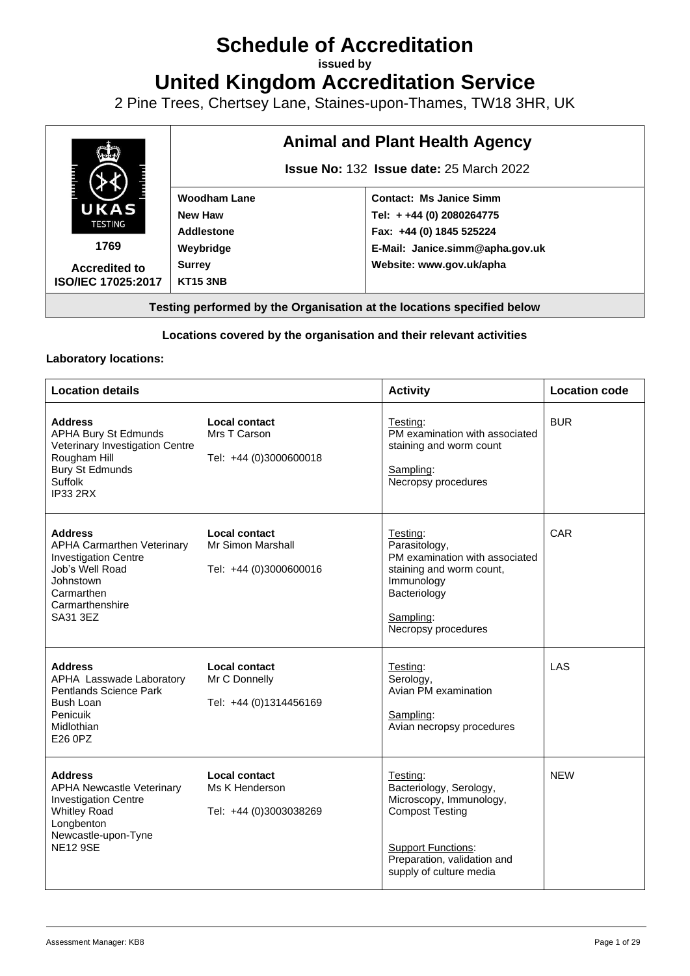## **Schedule of Accreditation**

**issued by**

**United Kingdom Accreditation Service**

2 Pine Trees, Chertsey Lane, Staines-upon-Thames, TW18 3HR, UK



## **Locations covered by the organisation and their relevant activities**

## **Laboratory locations:**

| <b>Location details</b>                                                                                                                                          |                                                                  | <b>Activity</b>                                                                                                                                                                 | <b>Location code</b> |
|------------------------------------------------------------------------------------------------------------------------------------------------------------------|------------------------------------------------------------------|---------------------------------------------------------------------------------------------------------------------------------------------------------------------------------|----------------------|
| <b>Address</b><br><b>APHA Bury St Edmunds</b><br>Veterinary Investigation Centre<br>Rougham Hill<br><b>Bury St Edmunds</b><br>Suffolk<br><b>IP33 2RX</b>         | Local contact<br>Mrs T Carson<br>Tel: +44 (0)3000600018          | Testing:<br>PM examination with associated<br>staining and worm count<br>Sampling:<br>Necropsy procedures                                                                       | <b>BUR</b>           |
| <b>Address</b><br><b>APHA Carmarthen Veterinary</b><br><b>Investigation Centre</b><br>Job's Well Road<br>Johnstown<br>Carmarthen<br>Carmarthenshire<br>SA31 3EZ  | Local contact<br>Mr Simon Marshall<br>Tel: +44 (0)3000600016     | Testing:<br>Parasitology,<br>PM examination with associated<br>staining and worm count,<br>Immunology<br>Bacteriology<br>Sampling:<br>Necropsy procedures                       | <b>CAR</b>           |
| <b>Address</b><br>APHA Lasswade Laboratory<br>Pentlands Science Park<br><b>Bush Loan</b><br>Penicuik<br>Midlothian<br>E26 0PZ                                    | <b>Local contact</b><br>Mr C Donnelly<br>Tel: +44 (0)1314456169  | Testing:<br>Serology,<br>Avian PM examination<br>Sampling:<br>Avian necropsy procedures                                                                                         | LAS                  |
| <b>Address</b><br><b>APHA Newcastle Veterinary</b><br><b>Investigation Centre</b><br><b>Whitley Road</b><br>Longbenton<br>Newcastle-upon-Tyne<br><b>NE12 9SE</b> | <b>Local contact</b><br>Ms K Henderson<br>Tel: +44 (0)3003038269 | Testing:<br>Bacteriology, Serology,<br>Microscopy, Immunology,<br><b>Compost Testing</b><br><b>Support Functions:</b><br>Preparation, validation and<br>supply of culture media | <b>NEW</b>           |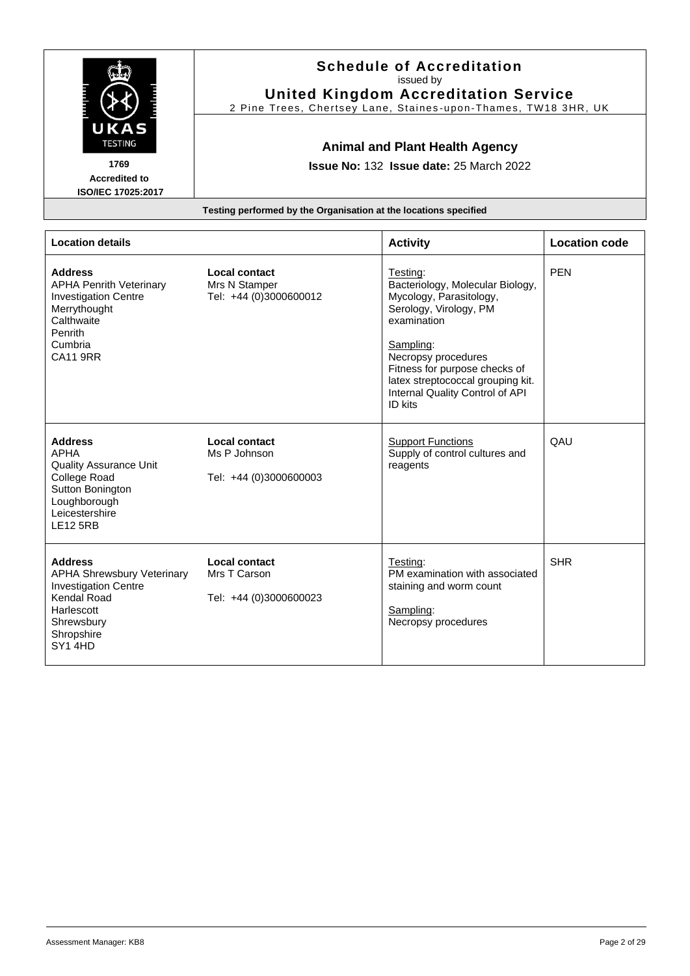| UKAS<br><b>TESTING</b><br>1769<br><b>Accredited to</b><br>ISO/IEC 17025:2017                                                                            | <b>Schedule of Accreditation</b><br>issued by<br><b>United Kingdom Accreditation Service</b><br>2 Pine Trees, Chertsey Lane, Staines-upon-Thames, TW18 3HR, UK<br><b>Animal and Plant Health Agency</b><br><b>Issue No: 132 Issue date: 25 March 2022</b><br>Testing performed by the Organisation at the locations specified |                                                                                                                                                                                                                                                                          |                      |
|---------------------------------------------------------------------------------------------------------------------------------------------------------|-------------------------------------------------------------------------------------------------------------------------------------------------------------------------------------------------------------------------------------------------------------------------------------------------------------------------------|--------------------------------------------------------------------------------------------------------------------------------------------------------------------------------------------------------------------------------------------------------------------------|----------------------|
| <b>Location details</b>                                                                                                                                 |                                                                                                                                                                                                                                                                                                                               | <b>Activity</b>                                                                                                                                                                                                                                                          | <b>Location code</b> |
| <b>Address</b><br><b>APHA Penrith Veterinary</b><br><b>Investigation Centre</b><br>Merrythought<br>Calthwaite<br>Penrith<br>Cumbria<br><b>CA11 9RR</b>  | Local contact<br>Mrs N Stamper<br>Tel: +44 (0)3000600012                                                                                                                                                                                                                                                                      | Testing:<br>Bacteriology, Molecular Biology,<br>Mycology, Parasitology,<br>Serology, Virology, PM<br>examination<br>Sampling:<br>Necropsy procedures<br>Fitness for purpose checks of<br>latex streptococcal grouping kit.<br>Internal Quality Control of API<br>ID kits | <b>PEN</b>           |
| <b>Address</b><br><b>APHA</b><br><b>Quality Assurance Unit</b><br>College Road<br>Sutton Bonington<br>Loughborough<br>Leicestershire<br><b>LE12 5RB</b> | Local contact<br>Ms P Johnson<br>Tel: +44 (0)3000600003                                                                                                                                                                                                                                                                       | <b>Support Functions</b><br>Supply of control cultures and<br>reagents                                                                                                                                                                                                   | QAU                  |
| <b>Address</b><br><b>APHA Shrewsbury Veterinary</b><br><b>Investigation Centre</b><br>Kendal Road<br>Harlescott<br>Shrewsbury<br>Shropshire<br>SY14HD   | <b>Local contact</b><br>Mrs T Carson<br>Tel: +44 (0)3000600023                                                                                                                                                                                                                                                                | Testing:<br>PM examination with associated<br>staining and worm count<br>Sampling:<br>Necropsy procedures                                                                                                                                                                | <b>SHR</b>           |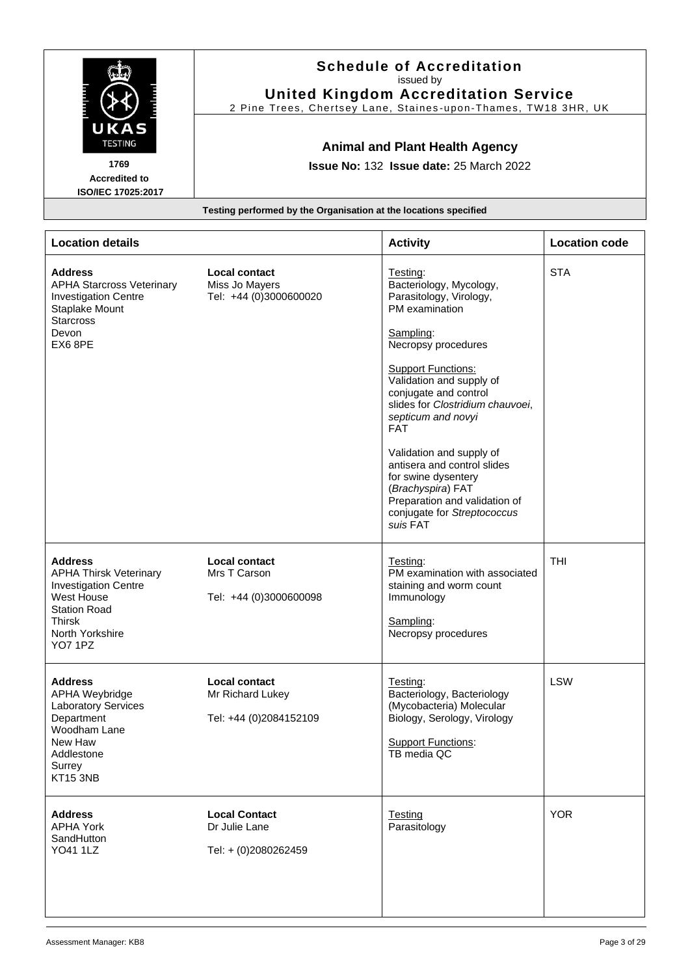|                                                                                                                                                                           | <b>Schedule of Accreditation</b><br>issued by<br><b>United Kingdom Accreditation Service</b><br>2 Pine Trees, Chertsey Lane, Staines-upon-Thames, TW18 3HR, UK |                                                                                                                                                                                                                                                                                                                                                                                                                                                                   |                      |
|---------------------------------------------------------------------------------------------------------------------------------------------------------------------------|----------------------------------------------------------------------------------------------------------------------------------------------------------------|-------------------------------------------------------------------------------------------------------------------------------------------------------------------------------------------------------------------------------------------------------------------------------------------------------------------------------------------------------------------------------------------------------------------------------------------------------------------|----------------------|
| UKAS<br><b>TESTING</b><br>1769<br><b>Accredited to</b><br>ISO/IEC 17025:2017                                                                                              |                                                                                                                                                                | <b>Animal and Plant Health Agency</b><br>Issue No: 132 Issue date: 25 March 2022                                                                                                                                                                                                                                                                                                                                                                                  |                      |
|                                                                                                                                                                           | Testing performed by the Organisation at the locations specified                                                                                               |                                                                                                                                                                                                                                                                                                                                                                                                                                                                   |                      |
| <b>Location details</b>                                                                                                                                                   |                                                                                                                                                                | <b>Activity</b>                                                                                                                                                                                                                                                                                                                                                                                                                                                   | <b>Location code</b> |
| <b>Address</b><br><b>APHA Starcross Veterinary</b><br><b>Investigation Centre</b><br>Staplake Mount<br><b>Starcross</b><br>Devon<br>EX6 8PE                               | Local contact<br>Miss Jo Mayers<br>Tel: +44 (0)3000600020                                                                                                      | Testing:<br>Bacteriology, Mycology,<br>Parasitology, Virology,<br>PM examination<br>Sampling:<br>Necropsy procedures<br><b>Support Functions:</b><br>Validation and supply of<br>conjugate and control<br>slides for Clostridium chauvoei,<br>septicum and novyi<br><b>FAT</b><br>Validation and supply of<br>antisera and control slides<br>for swine dysentery<br>(Brachyspira) FAT<br>Preparation and validation of<br>conjugate for Streptococcus<br>suis FAT | <b>STA</b>           |
| <b>Address</b><br><b>APHA Thirsk Veterinary</b><br><b>Investigation Centre</b><br>West House<br><b>Station Road</b><br><b>Thirsk</b><br>North Yorkshire<br><b>YO7 1PZ</b> | <b>Local contact</b><br>Mrs T Carson<br>Tel: +44 (0)3000600098                                                                                                 | Testing:<br>PM examination with associated<br>staining and worm count<br>Immunology<br>Sampling:<br>Necropsy procedures                                                                                                                                                                                                                                                                                                                                           | <b>THI</b>           |
| <b>Address</b><br>APHA Weybridge<br><b>Laboratory Services</b><br>Department<br>Woodham Lane<br>New Haw<br>Addlestone<br>Surrey<br>KT15 3NB                               | <b>Local contact</b><br>Mr Richard Lukey<br>Tel: +44 (0)2084152109                                                                                             | Testing:<br>Bacteriology, Bacteriology<br>(Mycobacteria) Molecular<br>Biology, Serology, Virology<br><b>Support Functions:</b><br>TB media QC                                                                                                                                                                                                                                                                                                                     | <b>LSW</b>           |
| <b>Address</b><br><b>APHA York</b><br>SandHutton<br><b>YO41 1LZ</b>                                                                                                       | <b>Local Contact</b><br>Dr Julie Lane<br>Tel: + (0)2080262459                                                                                                  | <b>Testing</b><br>Parasitology                                                                                                                                                                                                                                                                                                                                                                                                                                    | <b>YOR</b>           |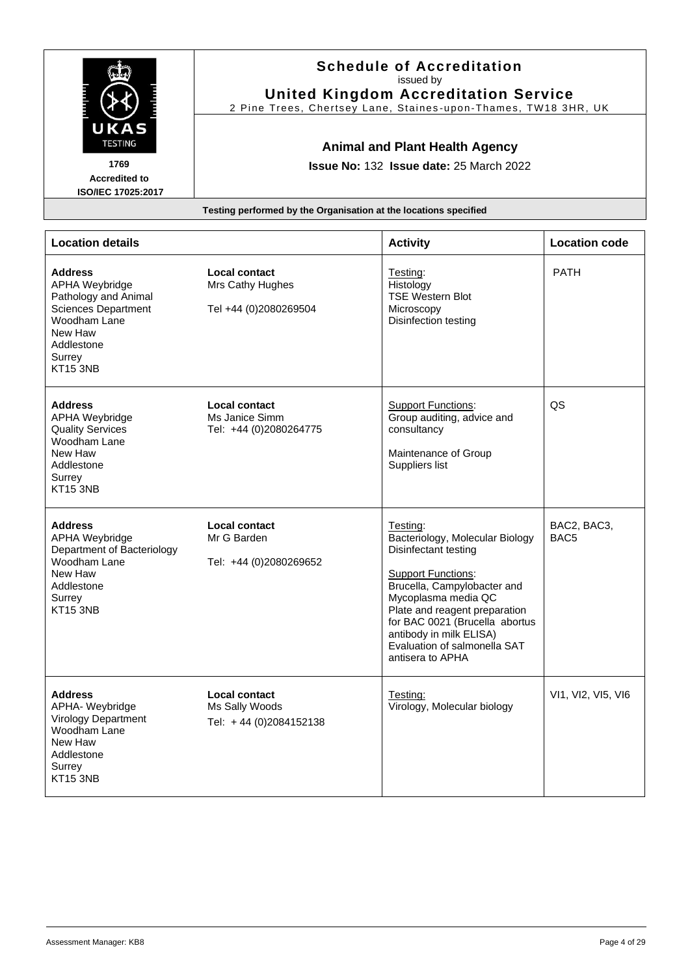| UKAS<br><b>TESTING</b><br>1769<br><b>Accredited to</b><br>ISO/IEC 17025:2017                                                                                        | <b>Schedule of Accreditation</b><br>issued by<br><b>United Kingdom Accreditation Service</b><br>2 Pine Trees, Chertsey Lane, Staines-upon-Thames, TW18 3HR, UK<br><b>Animal and Plant Health Agency</b><br><b>Issue No: 132 Issue date: 25 March 2022</b> |                                                                                                                                                                                                                                                                                                          |                                 |
|---------------------------------------------------------------------------------------------------------------------------------------------------------------------|-----------------------------------------------------------------------------------------------------------------------------------------------------------------------------------------------------------------------------------------------------------|----------------------------------------------------------------------------------------------------------------------------------------------------------------------------------------------------------------------------------------------------------------------------------------------------------|---------------------------------|
|                                                                                                                                                                     | Testing performed by the Organisation at the locations specified                                                                                                                                                                                          |                                                                                                                                                                                                                                                                                                          |                                 |
| <b>Location details</b>                                                                                                                                             |                                                                                                                                                                                                                                                           | <b>Activity</b>                                                                                                                                                                                                                                                                                          | <b>Location code</b>            |
| <b>Address</b><br><b>APHA Weybridge</b><br>Pathology and Animal<br><b>Sciences Department</b><br>Woodham Lane<br>New Haw<br>Addlestone<br>Surrey<br><b>KT15 3NB</b> | <b>Local contact</b><br>Mrs Cathy Hughes<br>Tel +44 (0)2080269504                                                                                                                                                                                         | Testing:<br>Histology<br><b>TSE Western Blot</b><br>Microscopy<br>Disinfection testing                                                                                                                                                                                                                   | <b>PATH</b>                     |
| <b>Address</b><br>APHA Weybridge<br><b>Quality Services</b><br>Woodham Lane<br>New Haw<br>Addlestone<br>Surrey<br><b>KT15 3NB</b>                                   | <b>Local contact</b><br>Ms Janice Simm<br>Tel: +44 (0)2080264775                                                                                                                                                                                          | <b>Support Functions:</b><br>Group auditing, advice and<br>consultancy<br>Maintenance of Group<br>Suppliers list                                                                                                                                                                                         | QS                              |
| <b>Address</b><br>APHA Weybridge<br>Department of Bacteriology<br>Woodham Lane<br>New Haw<br>Addlestone<br>Surrey<br><b>KT15 3NB</b>                                | <b>Local contact</b><br>Mr G Barden<br>Tel: +44 (0)2080269652                                                                                                                                                                                             | Testing:<br>Bacteriology, Molecular Biology<br>Disinfectant testing<br><b>Support Functions:</b><br>Brucella, Campylobacter and<br>Mycoplasma media QC<br>Plate and reagent preparation<br>for BAC 0021 (Brucella abortus<br>antibody in milk ELISA)<br>Evaluation of salmonella SAT<br>antisera to APHA | BAC2, BAC3,<br>BAC <sub>5</sub> |
| <b>Address</b><br>APHA- Weybridge<br>Virology Department<br>Woodham Lane<br>New Haw<br>Addlestone<br>Surrey<br><b>KT15 3NB</b>                                      | Local contact<br>Ms Sally Woods<br>Tel: +44 (0)2084152138                                                                                                                                                                                                 | Testing:<br>Virology, Molecular biology                                                                                                                                                                                                                                                                  | VI1, VI2, VI5, VI6              |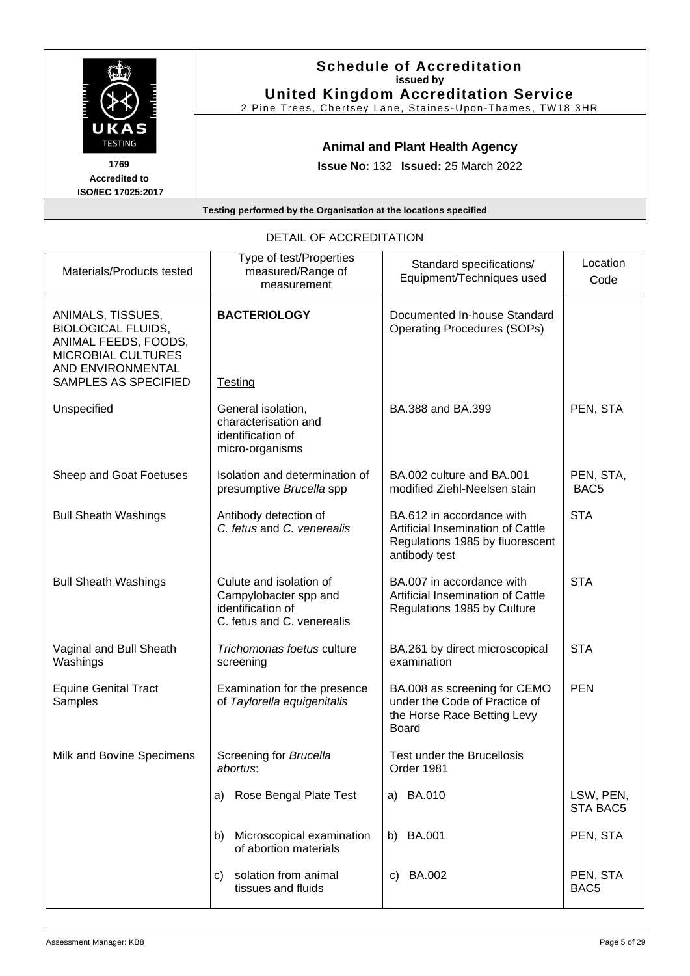|                                                                  | <b>Schedule of Accreditation</b><br>issued by<br><b>United Kingdom Accreditation Service</b><br>2 Pine Trees, Chertsey Lane, Staines-Upon-Thames, TW18 3HR |  |
|------------------------------------------------------------------|------------------------------------------------------------------------------------------------------------------------------------------------------------|--|
| UKAS<br><b>TESTING</b>                                           | <b>Animal and Plant Health Agency</b>                                                                                                                      |  |
| 1769<br><b>Accredited to</b><br>ISO/IEC 17025:2017               | <b>Issue No: 132 Issued: 25 March 2022</b>                                                                                                                 |  |
| Testing performed by the Organisation at the locations specified |                                                                                                                                                            |  |

DETAIL OF ACCREDITATION

| Materials/Products tested                                                                                                       | Type of test/Properties<br>measured/Range of<br>measurement                                         | Standard specifications/<br>Equipment/Techniques used                                                              | Location<br>Code              |
|---------------------------------------------------------------------------------------------------------------------------------|-----------------------------------------------------------------------------------------------------|--------------------------------------------------------------------------------------------------------------------|-------------------------------|
| ANIMALS, TISSUES,<br><b>BIOLOGICAL FLUIDS,</b><br>ANIMAL FEEDS, FOODS,<br><b>MICROBIAL CULTURES</b><br><b>AND ENVIRONMENTAL</b> | <b>BACTERIOLOGY</b>                                                                                 | Documented In-house Standard<br><b>Operating Procedures (SOPs)</b>                                                 |                               |
| SAMPLES AS SPECIFIED                                                                                                            | Testing                                                                                             |                                                                                                                    |                               |
| Unspecified                                                                                                                     | General isolation,<br>characterisation and<br>identification of<br>micro-organisms                  | BA.388 and BA.399                                                                                                  | PEN, STA                      |
| Sheep and Goat Foetuses                                                                                                         | Isolation and determination of<br>presumptive Brucella spp                                          | BA.002 culture and BA.001<br>modified Ziehl-Neelsen stain                                                          | PEN, STA,<br>BAC <sub>5</sub> |
| <b>Bull Sheath Washings</b>                                                                                                     | Antibody detection of<br>C. fetus and C. venerealis                                                 | BA.612 in accordance with<br>Artificial Insemination of Cattle<br>Regulations 1985 by fluorescent<br>antibody test | <b>STA</b>                    |
| <b>Bull Sheath Washings</b>                                                                                                     | Culute and isolation of<br>Campylobacter spp and<br>identification of<br>C. fetus and C. venerealis | BA.007 in accordance with<br>Artificial Insemination of Cattle<br>Regulations 1985 by Culture                      | <b>STA</b>                    |
| Vaginal and Bull Sheath<br>Washings                                                                                             | Trichomonas foetus culture<br>screening                                                             | BA.261 by direct microscopical<br>examination                                                                      | <b>STA</b>                    |
| <b>Equine Genital Tract</b><br>Samples                                                                                          | Examination for the presence<br>of Taylorella equigenitalis                                         | BA.008 as screening for CEMO<br>under the Code of Practice of<br>the Horse Race Betting Levy<br><b>Board</b>       | <b>PEN</b>                    |
| Milk and Bovine Specimens                                                                                                       | Screening for Brucella<br>abortus:                                                                  | Test under the Brucellosis<br>Order 1981                                                                           |                               |
|                                                                                                                                 | a) Rose Bengal Plate Test                                                                           | a) BA.010                                                                                                          | LSW, PEN,<br>STA BAC5         |
|                                                                                                                                 | Microscopical examination<br>b)<br>of abortion materials                                            | b) BA.001                                                                                                          | PEN, STA                      |
|                                                                                                                                 | solation from animal<br>C)<br>tissues and fluids                                                    | <b>BA.002</b><br>C)                                                                                                | PEN, STA<br>BAC <sub>5</sub>  |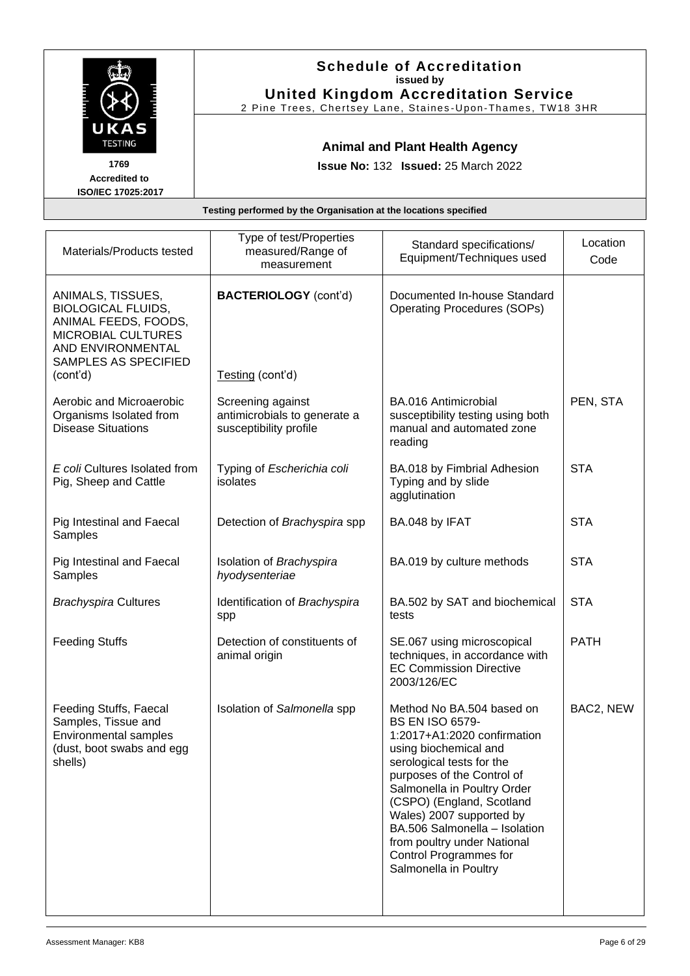|                                                                                                                                                              |                                                             | <b>Schedule of Accreditation</b><br>issued by<br><b>United Kingdom Accreditation Service</b><br>2 Pine Trees, Chertsey Lane, Staines-Upon-Thames, TW18 3HR |                  |
|--------------------------------------------------------------------------------------------------------------------------------------------------------------|-------------------------------------------------------------|------------------------------------------------------------------------------------------------------------------------------------------------------------|------------------|
| UKAS<br><b>TESTING</b>                                                                                                                                       | <b>Animal and Plant Health Agency</b>                       |                                                                                                                                                            |                  |
| 1769<br><b>Accredited to</b><br>ISO/IEC 17025:2017                                                                                                           | <b>Issue No: 132 Issued: 25 March 2022</b>                  |                                                                                                                                                            |                  |
| Testing performed by the Organisation at the locations specified                                                                                             |                                                             |                                                                                                                                                            |                  |
| Materials/Products tested                                                                                                                                    | Type of test/Properties<br>measured/Range of<br>measurement | Standard specifications/<br>Equipment/Techniques used                                                                                                      | Location<br>Code |
| ANIMALS, TISSUES,<br><b>BIOLOGICAL FLUIDS,</b><br>ANIMAL FEEDS, FOODS,<br><b>MICROBIAL CULTURES</b><br>AND ENVIRONMENTAL<br>SAMPLES AS SPECIFIED<br>(cont'd) | <b>BACTERIOLOGY</b> (cont'd)<br>Testing (cont'd)            | Documented In-house Standard<br><b>Operating Procedures (SOPs)</b>                                                                                         |                  |
| Aerobic and Microaerobic<br>Organisms Isolated from                                                                                                          | Screening against<br>antimicrobials to generate a           | BA.016 Antimicrobial<br>susceptibility testing using both                                                                                                  | PEN, STA         |

manual and automated zone

BA.018 by Fimbrial Adhesion

BA.019 by culture methods | STA

BA.502 by SAT and biochemical

SE.067 using microscopical techniques, in accordance with EC Commission Directive

1:2017+A1:2020 confirmation using biochemical and serological tests for the purposes of the Control of Salmonella in Poultry Order (CSPO) (England, Scotland Wales) 2007 supported by BA.506 Salmonella – Isolation from poultry under National Control Programmes for Salmonella in Poultry

**STA** 

**STA** 

PATH

BAC2, NEW

Typing and by slide agglutination

reading

Detection of *Brachyspira* spp | BA.048 by IFAT | STA

tests

Isolation of *Salmonella* spp Method No BA.504 based on

2003/126/EC

BS EN ISO 6579-

susceptibility profile

isolates

*Brachyspira* Cultures | Identification of *Brachyspira* 

Feeding Stuffs **Detection of constituents of** 

spp

Typing of *Escherichia coli*

Isolation of *Brachyspira* 

*hyodysenteriae*

animal origin

Disease Situations

*E coli* Cultures Isolated from Pig, Sheep and Cattle

Pig Intestinal and Faecal

Pig Intestinal and Faecal

Feeding Stuffs, Faecal Samples, Tissue and Environmental samples (dust, boot swabs and egg

**Samples** 

Samples

shells)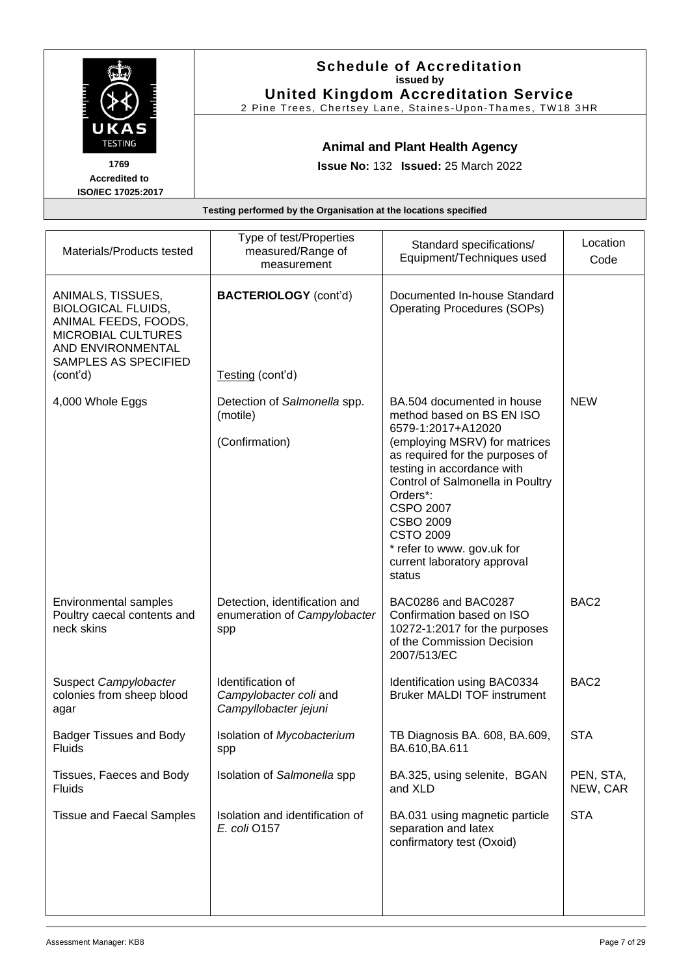|                                                                                     | <b>Schedule of Accreditation</b><br>issued by<br><b>United Kingdom Accreditation Service</b><br>2 Pine Trees, Chertsey Lane, Staines-Upon-Thames, TW18 3HR |
|-------------------------------------------------------------------------------------|------------------------------------------------------------------------------------------------------------------------------------------------------------|
| UKAS<br><b>TESTING</b><br>1769<br><b>Accredited to</b><br><b>ISO/IEC 17025:2017</b> | <b>Animal and Plant Health Agency</b><br><b>Issue No: 132 Issued: 25 March 2022</b>                                                                        |
|                                                                                     | Testing performed by the Organisation at the locations specified                                                                                           |
|                                                                                     | Type of test/Properties<br>ocation<br>$C$ tondord onooifiootional                                                                                          |

| Materials/Products tested                                                                                                                                    | Type of test ridenties<br>measured/Range of<br>measurement           | Standard specifications/<br>Equipment/Techniques used                                                                                                                                                                                                                                                                                                              | Location<br>Code      |
|--------------------------------------------------------------------------------------------------------------------------------------------------------------|----------------------------------------------------------------------|--------------------------------------------------------------------------------------------------------------------------------------------------------------------------------------------------------------------------------------------------------------------------------------------------------------------------------------------------------------------|-----------------------|
| ANIMALS, TISSUES,<br><b>BIOLOGICAL FLUIDS,</b><br>ANIMAL FEEDS, FOODS,<br><b>MICROBIAL CULTURES</b><br>AND ENVIRONMENTAL<br>SAMPLES AS SPECIFIED<br>(cont'd) | <b>BACTERIOLOGY</b> (cont'd)<br>Testing (cont'd)                     | Documented In-house Standard<br><b>Operating Procedures (SOPs)</b>                                                                                                                                                                                                                                                                                                 |                       |
| 4,000 Whole Eggs                                                                                                                                             | Detection of Salmonella spp.<br>(motile)<br>(Confirmation)           | BA.504 documented in house<br>method based on BS EN ISO<br>6579-1:2017+A12020<br>(employing MSRV) for matrices<br>as required for the purposes of<br>testing in accordance with<br>Control of Salmonella in Poultry<br>Orders*:<br><b>CSPO 2007</b><br><b>CSBO 2009</b><br><b>CSTO 2009</b><br>* refer to www. gov.uk for<br>current laboratory approval<br>status | <b>NEW</b>            |
| Environmental samples<br>Poultry caecal contents and<br>neck skins                                                                                           | Detection, identification and<br>enumeration of Campylobacter<br>spp | BAC0286 and BAC0287<br>Confirmation based on ISO<br>10272-1:2017 for the purposes<br>of the Commission Decision<br>2007/513/EC                                                                                                                                                                                                                                     | BAC <sub>2</sub>      |
| Suspect Campylobacter<br>colonies from sheep blood<br>agar                                                                                                   | Identification of<br>Campylobacter coli and<br>Campyllobacter jejuni | Identification using BAC0334<br><b>Bruker MALDI TOF instrument</b>                                                                                                                                                                                                                                                                                                 | BAC <sub>2</sub>      |
| <b>Badger Tissues and Body</b><br>Fluids                                                                                                                     | Isolation of Mycobacterium<br>spp                                    | TB Diagnosis BA. 608, BA.609,<br>BA.610, BA.611                                                                                                                                                                                                                                                                                                                    | <b>STA</b>            |
| Tissues, Faeces and Body<br><b>Fluids</b>                                                                                                                    | Isolation of Salmonella spp                                          | BA.325, using selenite, BGAN<br>and XLD                                                                                                                                                                                                                                                                                                                            | PEN, STA,<br>NEW, CAR |
| <b>Tissue and Faecal Samples</b>                                                                                                                             | Isolation and identification of<br>E. coli 0157                      | BA.031 using magnetic particle<br>separation and latex<br>confirmatory test (Oxoid)                                                                                                                                                                                                                                                                                | <b>STA</b>            |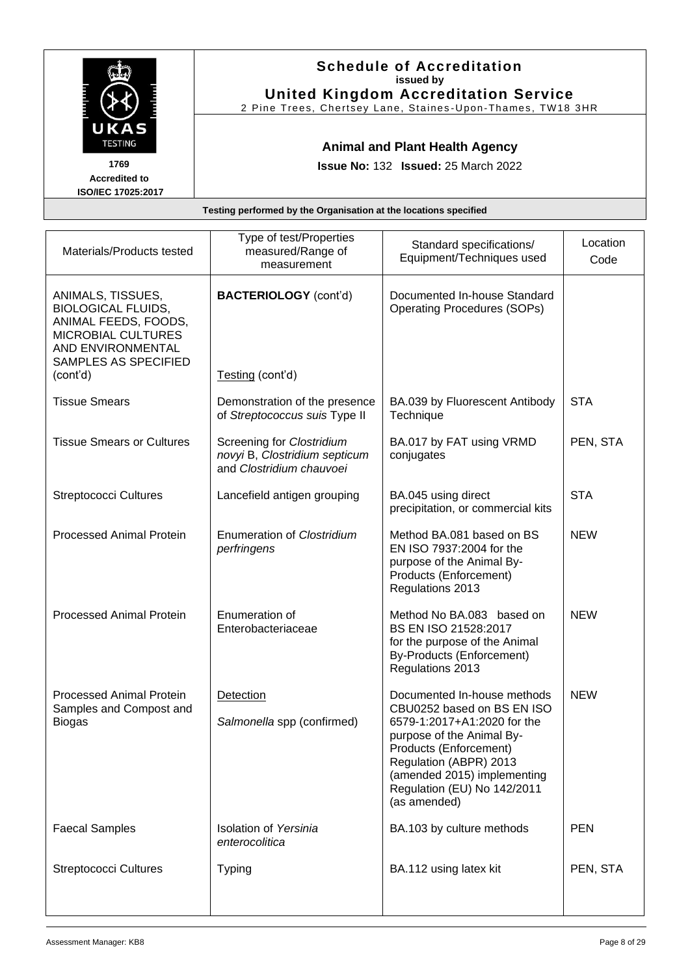|                                                                              | <b>Schedule of Accreditation</b><br>issued by<br><b>United Kingdom Accreditation Service</b><br>2 Pine Trees, Chertsey Lane, Staines-Upon-Thames, TW18 3HR |
|------------------------------------------------------------------------------|------------------------------------------------------------------------------------------------------------------------------------------------------------|
| UKAS<br><b>TESTING</b><br>1769<br><b>Accredited to</b><br>ISO/IEC 17025:2017 | <b>Animal and Plant Health Agency</b><br><b>Issue No: 132 Issued: 25 March 2022</b>                                                                        |
|                                                                              | Testing performed by the Organisation at the locations specified                                                                                           |
|                                                                              | Tyne of test/Properties                                                                                                                                    |

| Materials/Products tested                                                                                                                             | Type of test/Properties<br>measured/Range of<br>measurement                            | Standard specifications/<br>Equipment/Techniques used                                                                                                                                                                                                   | Location<br>Code |
|-------------------------------------------------------------------------------------------------------------------------------------------------------|----------------------------------------------------------------------------------------|---------------------------------------------------------------------------------------------------------------------------------------------------------------------------------------------------------------------------------------------------------|------------------|
| ANIMALS, TISSUES,<br><b>BIOLOGICAL FLUIDS,</b><br>ANIMAL FEEDS, FOODS,<br>MICROBIAL CULTURES<br>AND ENVIRONMENTAL<br>SAMPLES AS SPECIFIED<br>(cont'd) | <b>BACTERIOLOGY</b> (cont'd)<br>Testing (cont'd)                                       | Documented In-house Standard<br><b>Operating Procedures (SOPs)</b>                                                                                                                                                                                      |                  |
| <b>Tissue Smears</b>                                                                                                                                  | Demonstration of the presence<br>of Streptococcus suis Type II                         | BA.039 by Fluorescent Antibody<br>Technique                                                                                                                                                                                                             | <b>STA</b>       |
| <b>Tissue Smears or Cultures</b>                                                                                                                      | Screening for Clostridium<br>novyi B, Clostridium septicum<br>and Clostridium chauvoei | BA.017 by FAT using VRMD<br>conjugates                                                                                                                                                                                                                  | PEN, STA         |
| <b>Streptococci Cultures</b>                                                                                                                          | Lancefield antigen grouping                                                            | BA.045 using direct<br>precipitation, or commercial kits                                                                                                                                                                                                | <b>STA</b>       |
| <b>Processed Animal Protein</b>                                                                                                                       | <b>Enumeration of Clostridium</b><br>perfringens                                       | Method BA.081 based on BS<br>EN ISO 7937:2004 for the<br>purpose of the Animal By-<br>Products (Enforcement)<br>Regulations 2013                                                                                                                        | <b>NEW</b>       |
| <b>Processed Animal Protein</b>                                                                                                                       | Enumeration of<br>Enterobacteriaceae                                                   | Method No BA.083 based on<br>BS EN ISO 21528:2017<br>for the purpose of the Animal<br>By-Products (Enforcement)<br>Regulations 2013                                                                                                                     | <b>NEW</b>       |
| <b>Processed Animal Protein</b><br>Samples and Compost and<br><b>Biogas</b>                                                                           | Detection<br>Salmonella spp (confirmed)                                                | Documented In-house methods<br>CBU0252 based on BS EN ISO<br>6579-1:2017+A1:2020 for the<br>purpose of the Animal By-<br>Products (Enforcement)<br>Regulation (ABPR) 2013<br>(amended 2015) implementing<br>Regulation (EU) No 142/2011<br>(as amended) | <b>NEW</b>       |
| <b>Faecal Samples</b>                                                                                                                                 | <b>Isolation of Yersinia</b><br>enterocolitica                                         | BA.103 by culture methods                                                                                                                                                                                                                               | <b>PEN</b>       |
| <b>Streptococci Cultures</b>                                                                                                                          | <b>Typing</b>                                                                          | BA.112 using latex kit                                                                                                                                                                                                                                  | PEN, STA         |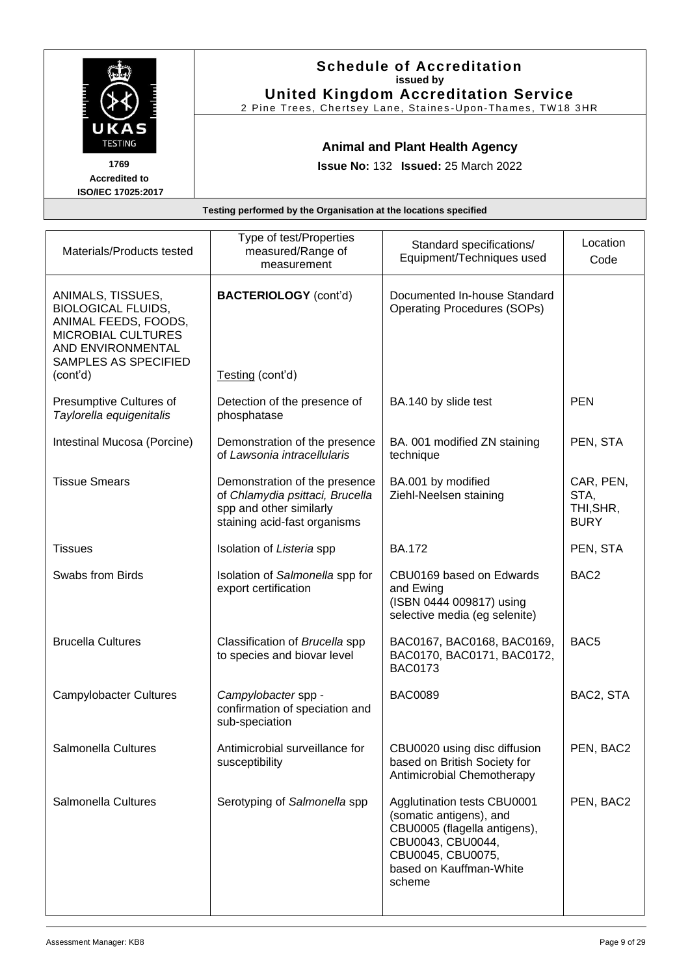|                                                        | <b>Schedule of Accreditation</b><br>issued by<br><b>United Kingdom Accreditation Service</b><br>2 Pine Trees, Chertsey Lane, Staines-Upon-Thames, TW18 3HR |
|--------------------------------------------------------|------------------------------------------------------------------------------------------------------------------------------------------------------------|
| UKAS<br><b>TESTING</b><br>1769<br><b>Accredited to</b> | <b>Animal and Plant Health Agency</b><br><b>Issue No: 132 Issued: 25 March 2022</b>                                                                        |
| ISO/IEC 17025:2017                                     |                                                                                                                                                            |
|                                                        | Testing performed by the Organisation at the locations specified                                                                                           |
|                                                        | Tyne of test/Properties                                                                                                                                    |

| Materials/Products tested                                                                                                                             | Type of test/Properties<br>measured/Range of<br>measurement                                                                 | Standard specifications/<br>Equipment/Techniques used                                                                                                                 | Location<br>Code                              |
|-------------------------------------------------------------------------------------------------------------------------------------------------------|-----------------------------------------------------------------------------------------------------------------------------|-----------------------------------------------------------------------------------------------------------------------------------------------------------------------|-----------------------------------------------|
| ANIMALS, TISSUES,<br><b>BIOLOGICAL FLUIDS,</b><br>ANIMAL FEEDS, FOODS,<br>MICROBIAL CULTURES<br>AND ENVIRONMENTAL<br>SAMPLES AS SPECIFIED<br>(cont'd) | <b>BACTERIOLOGY</b> (cont'd)<br>Testing (cont'd)                                                                            | Documented In-house Standard<br><b>Operating Procedures (SOPs)</b>                                                                                                    |                                               |
| Presumptive Cultures of<br>Taylorella equigenitalis                                                                                                   | Detection of the presence of<br>phosphatase                                                                                 | BA.140 by slide test                                                                                                                                                  | <b>PEN</b>                                    |
| Intestinal Mucosa (Porcine)                                                                                                                           | Demonstration of the presence<br>of Lawsonia intracellularis                                                                | BA. 001 modified ZN staining<br>technique                                                                                                                             | PEN, STA                                      |
| <b>Tissue Smears</b>                                                                                                                                  | Demonstration of the presence<br>of Chlamydia psittaci, Brucella<br>spp and other similarly<br>staining acid-fast organisms | BA.001 by modified<br>Ziehl-Neelsen staining                                                                                                                          | CAR, PEN,<br>STA,<br>THI, SHR,<br><b>BURY</b> |
| <b>Tissues</b>                                                                                                                                        | Isolation of Listeria spp                                                                                                   | <b>BA.172</b>                                                                                                                                                         | PEN, STA                                      |
| Swabs from Birds                                                                                                                                      | Isolation of Salmonella spp for<br>export certification                                                                     | CBU0169 based on Edwards<br>and Ewing<br>(ISBN 0444 009817) using<br>selective media (eg selenite)                                                                    | BAC <sub>2</sub>                              |
| <b>Brucella Cultures</b>                                                                                                                              | Classification of Brucella spp<br>to species and biovar level                                                               | BAC0167, BAC0168, BAC0169,<br>BAC0170, BAC0171, BAC0172,<br><b>BAC0173</b>                                                                                            | BAC <sub>5</sub>                              |
| <b>Campylobacter Cultures</b>                                                                                                                         | Campylobacter spp -<br>confirmation of speciation and<br>sub-speciation                                                     | <b>BAC0089</b>                                                                                                                                                        | BAC2, STA                                     |
| Salmonella Cultures                                                                                                                                   | Antimicrobial surveillance for<br>susceptibility                                                                            | CBU0020 using disc diffusion<br>based on British Society for<br>Antimicrobial Chemotherapy                                                                            | PEN, BAC2                                     |
| Salmonella Cultures                                                                                                                                   | Serotyping of Salmonella spp                                                                                                | Agglutination tests CBU0001<br>(somatic antigens), and<br>CBU0005 (flagella antigens),<br>CBU0043, CBU0044,<br>CBU0045, CBU0075,<br>based on Kauffman-White<br>scheme | PEN, BAC2                                     |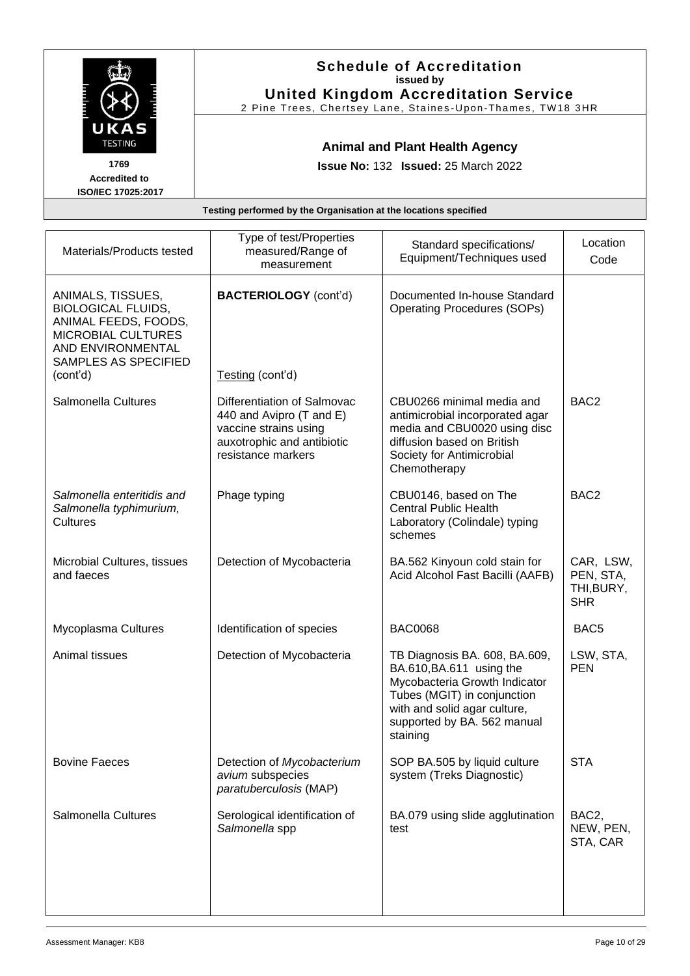|                                                                              |                                                                                     | <b>Schedule of Accreditation</b><br>issued by<br><b>United Kingdom Accreditation Service</b><br>2 Pine Trees, Chertsey Lane, Staines-Upon-Thames, TW18 3HR |                                  |
|------------------------------------------------------------------------------|-------------------------------------------------------------------------------------|------------------------------------------------------------------------------------------------------------------------------------------------------------|----------------------------------|
| UKAS<br><b>TESTING</b><br>1769<br><b>Accredited to</b><br>ISO/IEC 17025:2017 | <b>Animal and Plant Health Agency</b><br><b>Issue No: 132 Issued: 25 March 2022</b> |                                                                                                                                                            |                                  |
| Testing performed by the Organisation at the locations specified             |                                                                                     |                                                                                                                                                            |                                  |
| Materials/Products tested                                                    | Type of test/Properties<br>measured/Range of                                        | Standard specifications/<br>Equipment/Techniques used                                                                                                      | Location<br>$\sim$ $\sim$ $\sim$ |

| Materials/Products tested                                                                                                                                    | measured/Range of<br>measurement                                                                                                     | Standard specifications/<br>Equipment/Techniques used                                                                                                                                                | Location<br>Code                                   |
|--------------------------------------------------------------------------------------------------------------------------------------------------------------|--------------------------------------------------------------------------------------------------------------------------------------|------------------------------------------------------------------------------------------------------------------------------------------------------------------------------------------------------|----------------------------------------------------|
| ANIMALS, TISSUES,<br><b>BIOLOGICAL FLUIDS,</b><br>ANIMAL FEEDS, FOODS,<br><b>MICROBIAL CULTURES</b><br>AND ENVIRONMENTAL<br>SAMPLES AS SPECIFIED<br>(cont'd) | <b>BACTERIOLOGY</b> (cont'd)<br>Testing (cont'd)                                                                                     | Documented In-house Standard<br><b>Operating Procedures (SOPs)</b>                                                                                                                                   |                                                    |
|                                                                                                                                                              |                                                                                                                                      |                                                                                                                                                                                                      |                                                    |
| Salmonella Cultures                                                                                                                                          | Differentiation of Salmovac<br>440 and Avipro (T and E)<br>vaccine strains using<br>auxotrophic and antibiotic<br>resistance markers | CBU0266 minimal media and<br>antimicrobial incorporated agar<br>media and CBU0020 using disc<br>diffusion based on British<br>Society for Antimicrobial<br>Chemotherapy                              | BAC <sub>2</sub>                                   |
| Salmonella enteritidis and<br>Salmonella typhimurium,<br>Cultures                                                                                            | Phage typing                                                                                                                         | CBU0146, based on The<br><b>Central Public Health</b><br>Laboratory (Colindale) typing<br>schemes                                                                                                    | BAC <sub>2</sub>                                   |
| Microbial Cultures, tissues<br>and faeces                                                                                                                    | Detection of Mycobacteria                                                                                                            | BA.562 Kinyoun cold stain for<br>Acid Alcohol Fast Bacilli (AAFB)                                                                                                                                    | CAR, LSW,<br>PEN, STA,<br>THI, BURY,<br><b>SHR</b> |
| Mycoplasma Cultures                                                                                                                                          | Identification of species                                                                                                            | <b>BAC0068</b>                                                                                                                                                                                       | BAC <sub>5</sub>                                   |
| Animal tissues                                                                                                                                               | Detection of Mycobacteria                                                                                                            | TB Diagnosis BA. 608, BA.609,<br>BA.610, BA.611 using the<br>Mycobacteria Growth Indicator<br>Tubes (MGIT) in conjunction<br>with and solid agar culture,<br>supported by BA. 562 manual<br>staining | LSW, STA,<br><b>PEN</b>                            |
| <b>Bovine Faeces</b>                                                                                                                                         | Detection of Mycobacterium<br>avium subspecies<br>paratuberculosis (MAP)                                                             | SOP BA.505 by liquid culture<br>system (Treks Diagnostic)                                                                                                                                            | <b>STA</b>                                         |
| Salmonella Cultures                                                                                                                                          | Serological identification of<br>Salmonella spp                                                                                      | BA.079 using slide agglutination<br>test                                                                                                                                                             | BAC <sub>2</sub> ,<br>NEW, PEN,<br>STA, CAR        |
|                                                                                                                                                              |                                                                                                                                      |                                                                                                                                                                                                      |                                                    |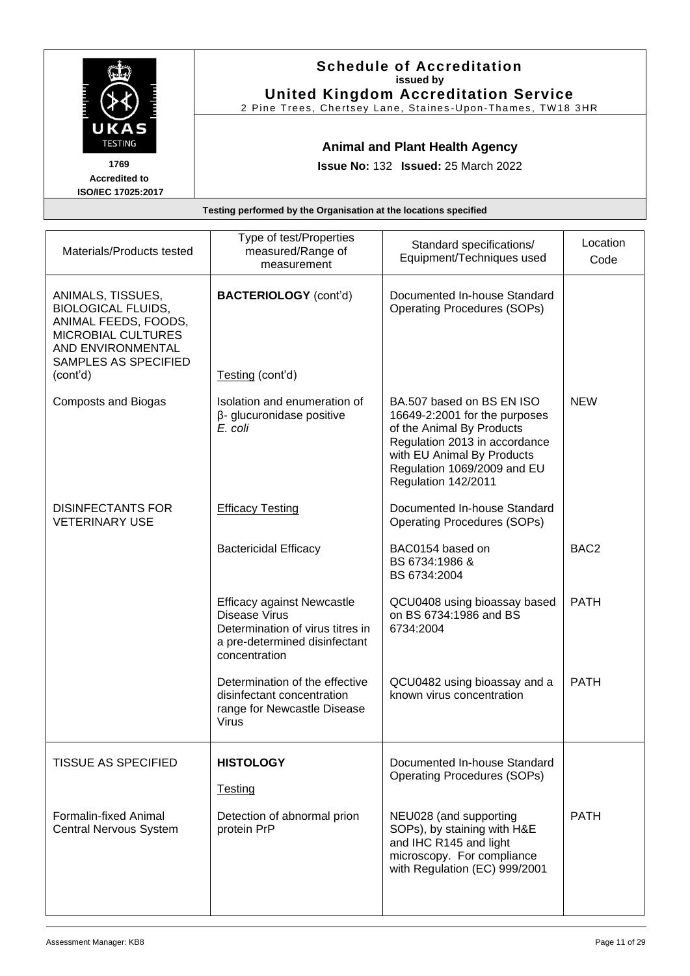|                                                                              | <b>Schedule of Accreditation</b><br>issued by<br><b>United Kingdom Accreditation Service</b><br>2 Pine Trees, Chertsey Lane, Staines-Upon-Thames, TW18 3HR |                          |          |
|------------------------------------------------------------------------------|------------------------------------------------------------------------------------------------------------------------------------------------------------|--------------------------|----------|
| UKAS<br><b>TESTING</b><br>1769<br><b>Accredited to</b><br>ISO/IEC 17025:2017 | <b>Animal and Plant Health Agency</b><br><b>Issue No: 132 Issued: 25 March 2022</b>                                                                        |                          |          |
| Testing performed by the Organisation at the locations specified             |                                                                                                                                                            |                          |          |
| <b>March 2008 / Dec 1908 / Links And Address 1908</b>                        | Type of test/Properties                                                                                                                                    | Standard specifications/ | Location |

| Materials/Products tested                                                                                                                        | i ypu ur tudi i rupurtiud<br>measured/Range of<br>measurement                                                                                   | Standard specifications/<br>Equipment/Techniques used                                                                                                                                                        | Location<br>Code |
|--------------------------------------------------------------------------------------------------------------------------------------------------|-------------------------------------------------------------------------------------------------------------------------------------------------|--------------------------------------------------------------------------------------------------------------------------------------------------------------------------------------------------------------|------------------|
| ANIMALS, TISSUES,<br><b>BIOLOGICAL FLUIDS,</b><br>ANIMAL FEEDS, FOODS,<br><b>MICROBIAL CULTURES</b><br>AND ENVIRONMENTAL<br>SAMPLES AS SPECIFIED | <b>BACTERIOLOGY</b> (cont'd)                                                                                                                    | Documented In-house Standard<br><b>Operating Procedures (SOPs)</b>                                                                                                                                           |                  |
| (cont'd)                                                                                                                                         | Testing (cont'd)                                                                                                                                |                                                                                                                                                                                                              |                  |
| <b>Composts and Biogas</b>                                                                                                                       | Isolation and enumeration of<br>$\beta$ - glucuronidase positive<br>E. coli                                                                     | BA.507 based on BS EN ISO<br>16649-2:2001 for the purposes<br>of the Animal By Products<br>Regulation 2013 in accordance<br>with EU Animal By Products<br>Regulation 1069/2009 and EU<br>Regulation 142/2011 | <b>NEW</b>       |
| <b>DISINFECTANTS FOR</b><br><b>VETERINARY USE</b>                                                                                                | <b>Efficacy Testing</b>                                                                                                                         | Documented In-house Standard<br><b>Operating Procedures (SOPs)</b>                                                                                                                                           |                  |
|                                                                                                                                                  | <b>Bactericidal Efficacy</b>                                                                                                                    | BAC0154 based on<br>BS 6734:1986 &<br>BS 6734:2004                                                                                                                                                           | BAC <sub>2</sub> |
|                                                                                                                                                  | <b>Efficacy against Newcastle</b><br><b>Disease Virus</b><br>Determination of virus titres in<br>a pre-determined disinfectant<br>concentration | QCU0408 using bioassay based<br>on BS 6734:1986 and BS<br>6734:2004                                                                                                                                          | <b>PATH</b>      |
|                                                                                                                                                  | Determination of the effective<br>disinfectant concentration<br>range for Newcastle Disease<br><b>Virus</b>                                     | QCU0482 using bioassay and a<br>known virus concentration                                                                                                                                                    | <b>PATH</b>      |
| TISSUE AS SPECIFIED                                                                                                                              | <b>HISTOLOGY</b><br>Testing                                                                                                                     | Documented In-house Standard<br><b>Operating Procedures (SOPs)</b>                                                                                                                                           |                  |
| Formalin-fixed Animal<br><b>Central Nervous System</b>                                                                                           | Detection of abnormal prion<br>protein PrP                                                                                                      | NEU028 (and supporting<br>SOPs), by staining with H&E<br>and IHC R145 and light<br>microscopy. For compliance<br>with Regulation (EC) 999/2001                                                               | <b>PATH</b>      |
|                                                                                                                                                  |                                                                                                                                                 |                                                                                                                                                                                                              |                  |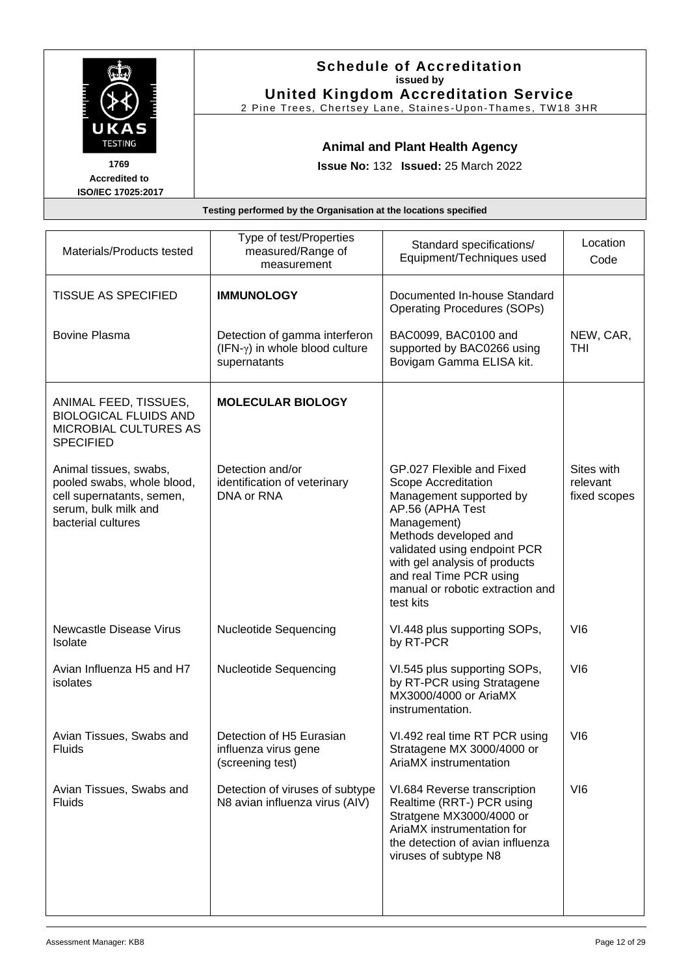|                                                                              | <b>Schedule of Accreditation</b><br>issued by<br><b>United Kingdom Accreditation Service</b><br>2 Pine Trees, Chertsey Lane, Staines-Upon-Thames, TW18 3HR |  |
|------------------------------------------------------------------------------|------------------------------------------------------------------------------------------------------------------------------------------------------------|--|
| UKAS<br><b>TESTING</b><br>1769<br><b>Accredited to</b><br>ISO/IEC 17025:2017 | <b>Animal and Plant Health Agency</b><br><b>Issue No: 132 Issued: 25 March 2022</b>                                                                        |  |
| Testing performed by the Organisation at the locations specified             |                                                                                                                                                            |  |
|                                                                              | Tung of toot/Droporties                                                                                                                                    |  |

| Materials/Products tested                                                                                                       | Type of test/Properties<br>measured/Range of<br>measurement                            | Standard specifications/<br>Equipment/Techniques used                                                                                                                                                                                                                                | Location<br>Code                       |
|---------------------------------------------------------------------------------------------------------------------------------|----------------------------------------------------------------------------------------|--------------------------------------------------------------------------------------------------------------------------------------------------------------------------------------------------------------------------------------------------------------------------------------|----------------------------------------|
| <b>TISSUE AS SPECIFIED</b>                                                                                                      | <b>IMMUNOLOGY</b>                                                                      | Documented In-house Standard<br><b>Operating Procedures (SOPs)</b>                                                                                                                                                                                                                   |                                        |
| <b>Bovine Plasma</b>                                                                                                            | Detection of gamma interferon<br>$(IFN-\gamma)$ in whole blood culture<br>supernatants | BAC0099, BAC0100 and<br>supported by BAC0266 using<br>Bovigam Gamma ELISA kit.                                                                                                                                                                                                       | NEW, CAR,<br><b>THI</b>                |
| ANIMAL FEED, TISSUES,<br><b>BIOLOGICAL FLUIDS AND</b><br>MICROBIAL CULTURES AS<br><b>SPECIFIED</b>                              | <b>MOLECULAR BIOLOGY</b>                                                               |                                                                                                                                                                                                                                                                                      |                                        |
| Animal tissues, swabs,<br>pooled swabs, whole blood,<br>cell supernatants, semen,<br>serum, bulk milk and<br>bacterial cultures | Detection and/or<br>identification of veterinary<br>DNA or RNA                         | GP.027 Flexible and Fixed<br>Scope Accreditation<br>Management supported by<br>AP.56 (APHA Test<br>Management)<br>Methods developed and<br>validated using endpoint PCR<br>with gel analysis of products<br>and real Time PCR using<br>manual or robotic extraction and<br>test kits | Sites with<br>relevant<br>fixed scopes |
| <b>Newcastle Disease Virus</b><br>Isolate                                                                                       | <b>Nucleotide Sequencing</b>                                                           | VI.448 plus supporting SOPs,<br>by RT-PCR                                                                                                                                                                                                                                            | VI <sub>6</sub>                        |
| Avian Influenza H5 and H7<br>isolates                                                                                           | <b>Nucleotide Sequencing</b>                                                           | VI.545 plus supporting SOPs,<br>by RT-PCR using Stratagene<br>MX3000/4000 or AriaMX<br>instrumentation.                                                                                                                                                                              | VI <sub>6</sub>                        |
| Avian Tissues, Swabs and<br>Fluids                                                                                              | Detection of H5 Eurasian<br>influenza virus gene<br>(screening test)                   | VI.492 real time RT PCR using<br>Stratagene MX 3000/4000 or<br>AriaMX instrumentation                                                                                                                                                                                                | VI <sub>6</sub>                        |
| Avian Tissues, Swabs and<br><b>Fluids</b>                                                                                       | Detection of viruses of subtype<br>N8 avian influenza virus (AIV)                      | VI.684 Reverse transcription<br>Realtime (RRT-) PCR using<br>Stratgene MX3000/4000 or<br>AriaMX instrumentation for<br>the detection of avian influenza<br>viruses of subtype N8                                                                                                     | VI <sub>6</sub>                        |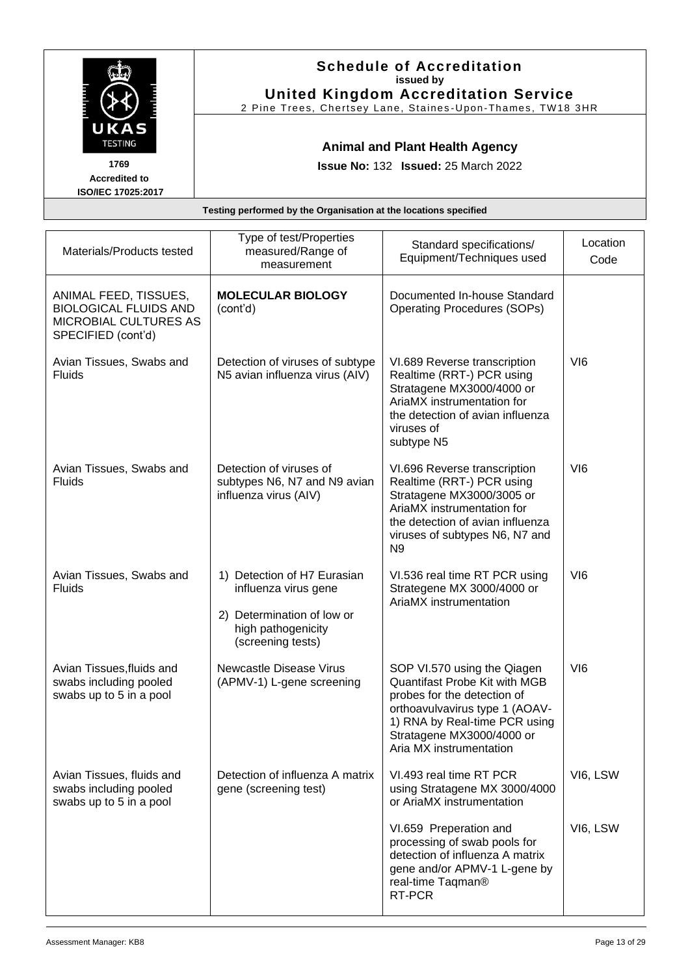|                                                        | <b>Schedule of Accreditation</b><br>issued by<br><b>United Kingdom Accreditation Service</b><br>2 Pine Trees, Chertsey Lane, Staines-Upon-Thames, TW18 3HR |
|--------------------------------------------------------|------------------------------------------------------------------------------------------------------------------------------------------------------------|
| UKAS<br><b>TESTING</b><br>1769<br><b>Accredited to</b> | <b>Animal and Plant Health Agency</b><br><b>Issue No: 132 Issued: 25 March 2022</b>                                                                        |
| ISO/IEC 17025:2017                                     |                                                                                                                                                            |
|                                                        | Testing performed by the Organisation at the locations specified                                                                                           |
|                                                        |                                                                                                                                                            |
|                                                        | Tyne of test/Droperties                                                                                                                                    |

| Materials/Products tested                                                                            | Type of test/Properties<br>measured/Range of<br>measurement                                                                  | Standard specifications/<br>Equipment/Techniques used                                                                                                                                                                  | Location<br>Code |
|------------------------------------------------------------------------------------------------------|------------------------------------------------------------------------------------------------------------------------------|------------------------------------------------------------------------------------------------------------------------------------------------------------------------------------------------------------------------|------------------|
| ANIMAL FEED, TISSUES,<br><b>BIOLOGICAL FLUIDS AND</b><br>MICROBIAL CULTURES AS<br>SPECIFIED (cont'd) | <b>MOLECULAR BIOLOGY</b><br>(cont'd)                                                                                         | Documented In-house Standard<br><b>Operating Procedures (SOPs)</b>                                                                                                                                                     |                  |
| Avian Tissues, Swabs and<br><b>Fluids</b>                                                            | Detection of viruses of subtype<br>N5 avian influenza virus (AIV)                                                            | VI.689 Reverse transcription<br>Realtime (RRT-) PCR using<br>Stratagene MX3000/4000 or<br>AriaMX instrumentation for<br>the detection of avian influenza<br>viruses of<br>subtype N5                                   | VI <sub>6</sub>  |
| Avian Tissues, Swabs and<br><b>Fluids</b>                                                            | Detection of viruses of<br>subtypes N6, N7 and N9 avian<br>influenza virus (AIV)                                             | VI.696 Reverse transcription<br>Realtime (RRT-) PCR using<br>Stratagene MX3000/3005 or<br>AriaMX instrumentation for<br>the detection of avian influenza<br>viruses of subtypes N6, N7 and<br>N <sub>9</sub>           | VI <sub>6</sub>  |
| Avian Tissues, Swabs and<br><b>Fluids</b>                                                            | 1) Detection of H7 Eurasian<br>influenza virus gene<br>2) Determination of low or<br>high pathogenicity<br>(screening tests) | VI.536 real time RT PCR using<br>Strategene MX 3000/4000 or<br>AriaMX instrumentation                                                                                                                                  | VI <sub>6</sub>  |
| Avian Tissues, fluids and<br>swabs including pooled<br>swabs up to 5 in a pool                       | <b>Newcastle Disease Virus</b><br>(APMV-1) L-gene screening                                                                  | SOP VI.570 using the Qiagen<br>Quantifast Probe Kit with MGB<br>probes for the detection of<br>orthoavulvavirus type 1 (AOAV-<br>1) RNA by Real-time PCR using<br>Stratagene MX3000/4000 or<br>Aria MX instrumentation | VI <sub>6</sub>  |
| Avian Tissues, fluids and<br>swabs including pooled<br>swabs up to 5 in a pool                       | Detection of influenza A matrix<br>gene (screening test)                                                                     | VI.493 real time RT PCR<br>using Stratagene MX 3000/4000<br>or AriaMX instrumentation                                                                                                                                  | VI6, LSW         |
|                                                                                                      |                                                                                                                              | VI.659 Preperation and<br>processing of swab pools for<br>detection of influenza A matrix<br>gene and/or APMV-1 L-gene by<br>real-time Taqman <sup>®</sup><br>RT-PCR                                                   | VI6, LSW         |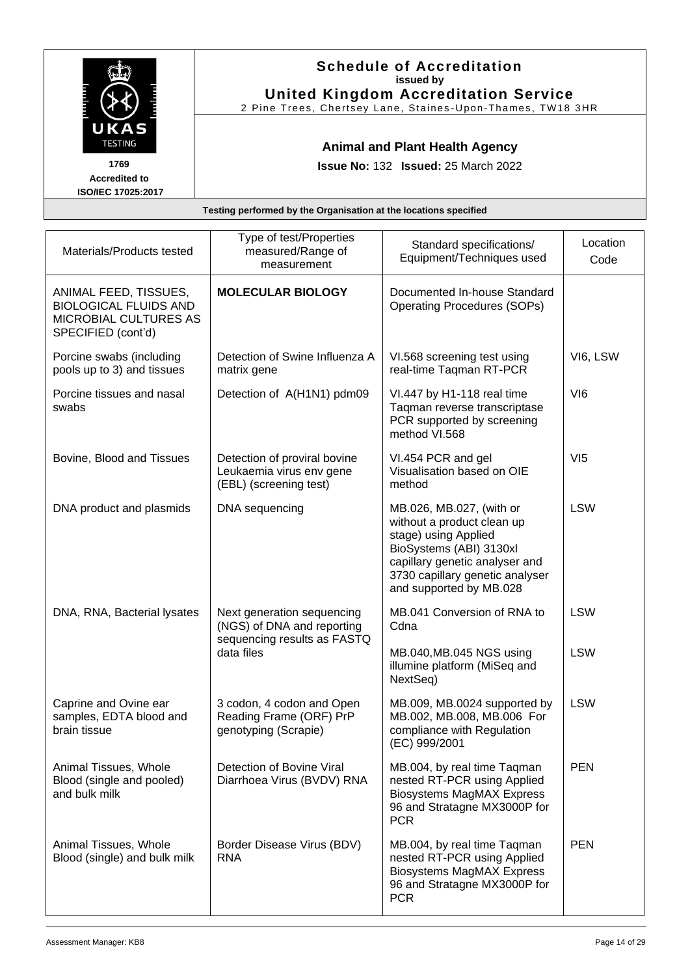|                                                                                                                                                                     |                         | <b>Schedule of Accreditation</b><br>issued by<br><b>United Kingdom Accreditation Service</b><br>2 Pine Trees, Chertsey Lane, Staines-Upon-Thames, TW18 3HR |          |
|---------------------------------------------------------------------------------------------------------------------------------------------------------------------|-------------------------|------------------------------------------------------------------------------------------------------------------------------------------------------------|----------|
| UKAS<br><b>TESTING</b><br><b>Animal and Plant Health Agency</b><br>1769<br><b>Issue No: 132 Issued: 25 March 2022</b><br><b>Accredited to</b><br>ISO/IEC 17025:2017 |                         |                                                                                                                                                            |          |
| Testing performed by the Organisation at the locations specified                                                                                                    |                         |                                                                                                                                                            |          |
|                                                                                                                                                                     | Type of test/Properties |                                                                                                                                                            |          |
| Materials/Products tested                                                                                                                                           | measured/Range of       | Standard specifications/                                                                                                                                   | Location |

| Materials/Products tested                                                                            | סהוסקטו ושטטו וס סקן ו<br>measured/Range of<br>measurement                              | Standard specifications/<br>Equipment/Techniques used                                                                                                                                                     | Location<br>Code |
|------------------------------------------------------------------------------------------------------|-----------------------------------------------------------------------------------------|-----------------------------------------------------------------------------------------------------------------------------------------------------------------------------------------------------------|------------------|
| ANIMAL FEED, TISSUES,<br><b>BIOLOGICAL FLUIDS AND</b><br>MICROBIAL CULTURES AS<br>SPECIFIED (cont'd) | <b>MOLECULAR BIOLOGY</b>                                                                | Documented In-house Standard<br><b>Operating Procedures (SOPs)</b>                                                                                                                                        |                  |
| Porcine swabs (including<br>pools up to 3) and tissues                                               | Detection of Swine Influenza A<br>matrix gene                                           | VI.568 screening test using<br>real-time Taqman RT-PCR                                                                                                                                                    | VI6, LSW         |
| Porcine tissues and nasal<br>swabs                                                                   | Detection of A(H1N1) pdm09                                                              | VI.447 by H1-118 real time<br>Tagman reverse transcriptase<br>PCR supported by screening<br>method VI.568                                                                                                 | VI <sub>6</sub>  |
| Bovine, Blood and Tissues                                                                            | Detection of proviral bovine<br>Leukaemia virus env gene<br>(EBL) (screening test)      | VI.454 PCR and gel<br>Visualisation based on OIE<br>method                                                                                                                                                | VI5              |
| DNA product and plasmids                                                                             | DNA sequencing                                                                          | MB.026, MB.027, (with or<br>without a product clean up<br>stage) using Applied<br>BioSystems (ABI) 3130xl<br>capillary genetic analyser and<br>3730 capillary genetic analyser<br>and supported by MB.028 | <b>LSW</b>       |
| DNA, RNA, Bacterial lysates                                                                          | Next generation sequencing<br>(NGS) of DNA and reporting<br>sequencing results as FASTQ | MB.041 Conversion of RNA to<br>Cdna                                                                                                                                                                       | <b>LSW</b>       |
|                                                                                                      | data files                                                                              | MB.040, MB.045 NGS using<br>illumine platform (MiSeq and<br>NextSeq)                                                                                                                                      | <b>LSW</b>       |
| Caprine and Ovine ear<br>samples, EDTA blood and<br>brain tissue                                     | 3 codon, 4 codon and Open<br>Reading Frame (ORF) PrP<br>genotyping (Scrapie)            | MB.009, MB.0024 supported by<br>MB.002, MB.008, MB.006 For<br>compliance with Regulation<br>(EC) 999/2001                                                                                                 | <b>LSW</b>       |
| Animal Tissues, Whole<br>Blood (single and pooled)<br>and bulk milk                                  | Detection of Bovine Viral<br>Diarrhoea Virus (BVDV) RNA                                 | MB.004, by real time Taqman<br>nested RT-PCR using Applied<br>Biosystems MagMAX Express<br>96 and Stratagne MX3000P for<br><b>PCR</b>                                                                     | <b>PEN</b>       |
| Animal Tissues, Whole<br>Blood (single) and bulk milk                                                | Border Disease Virus (BDV)<br><b>RNA</b>                                                | MB.004, by real time Taqman<br>nested RT-PCR using Applied<br><b>Biosystems MagMAX Express</b><br>96 and Stratagne MX3000P for<br><b>PCR</b>                                                              | <b>PEN</b>       |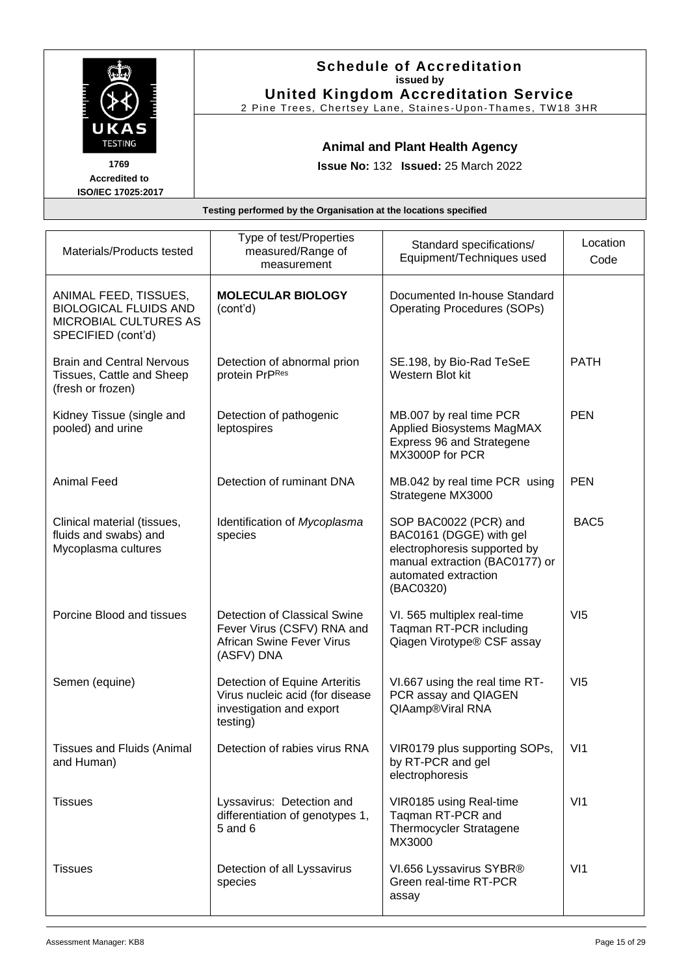|                                                                              |                                                                                     | <b>Schedule of Accreditation</b><br>issued by<br><b>United Kingdom Accreditation Service</b><br>2 Pine Trees, Chertsey Lane, Staines-Upon-Thames, TW18 3HR |                  |
|------------------------------------------------------------------------------|-------------------------------------------------------------------------------------|------------------------------------------------------------------------------------------------------------------------------------------------------------|------------------|
| UKAS<br><b>TESTING</b><br>1769<br><b>Accredited to</b><br>ISO/IEC 17025:2017 | <b>Animal and Plant Health Agency</b><br><b>Issue No: 132 Issued: 25 March 2022</b> |                                                                                                                                                            |                  |
| Testing performed by the Organisation at the locations specified             |                                                                                     |                                                                                                                                                            |                  |
| Materials/Products tested                                                    | Type of test/Properties<br>measured/Range of<br>measurement                         | Standard specifications/<br>Equipment/Techniques used                                                                                                      | Location<br>Code |

| Materials/Products tested                                                                                   | measured/Range of<br>measurement                                                                             | Standard specifications/<br>Equipment/Techniques used                                                                                                   | Location<br>Code |
|-------------------------------------------------------------------------------------------------------------|--------------------------------------------------------------------------------------------------------------|---------------------------------------------------------------------------------------------------------------------------------------------------------|------------------|
| ANIMAL FEED, TISSUES,<br><b>BIOLOGICAL FLUIDS AND</b><br><b>MICROBIAL CULTURES AS</b><br>SPECIFIED (cont'd) | <b>MOLECULAR BIOLOGY</b><br>(cont'd)                                                                         | Documented In-house Standard<br><b>Operating Procedures (SOPs)</b>                                                                                      |                  |
| <b>Brain and Central Nervous</b><br>Tissues, Cattle and Sheep<br>(fresh or frozen)                          | Detection of abnormal prion<br>protein PrPRes                                                                | SE.198, by Bio-Rad TeSeE<br>Western Blot kit                                                                                                            | <b>PATH</b>      |
| Kidney Tissue (single and<br>pooled) and urine                                                              | Detection of pathogenic<br>leptospires                                                                       | MB.007 by real time PCR<br>Applied Biosystems MagMAX<br>Express 96 and Strategene<br>MX3000P for PCR                                                    | <b>PEN</b>       |
| <b>Animal Feed</b>                                                                                          | Detection of ruminant DNA                                                                                    | MB.042 by real time PCR using<br>Strategene MX3000                                                                                                      | <b>PEN</b>       |
| Clinical material (tissues,<br>fluids and swabs) and<br>Mycoplasma cultures                                 | Identification of Mycoplasma<br>species                                                                      | SOP BAC0022 (PCR) and<br>BAC0161 (DGGE) with gel<br>electrophoresis supported by<br>manual extraction (BAC0177) or<br>automated extraction<br>(BAC0320) | BAC <sub>5</sub> |
| Porcine Blood and tissues                                                                                   | Detection of Classical Swine<br>Fever Virus (CSFV) RNA and<br><b>African Swine Fever Virus</b><br>(ASFV) DNA | VI. 565 multiplex real-time<br>Taqman RT-PCR including<br>Qiagen Virotype® CSF assay                                                                    | VI5              |
| Semen (equine)                                                                                              | Detection of Equine Arteritis<br>Virus nucleic acid (for disease<br>investigation and export<br>testing)     | VI.667 using the real time RT-<br>PCR assay and QIAGEN<br>QIAamp®Viral RNA                                                                              | VI5              |
| <b>Tissues and Fluids (Animal</b><br>and Human)                                                             | Detection of rabies virus RNA                                                                                | VIR0179 plus supporting SOPs,<br>by RT-PCR and gel<br>electrophoresis                                                                                   | V <sub>11</sub>  |
| <b>Tissues</b>                                                                                              | Lyssavirus: Detection and<br>differentiation of genotypes 1,<br>$5$ and $6$                                  | VIR0185 using Real-time<br>Taqman RT-PCR and<br>Thermocycler Stratagene<br>MX3000                                                                       | V <sub>11</sub>  |
| <b>Tissues</b>                                                                                              | Detection of all Lyssavirus<br>species                                                                       | VI.656 Lyssavirus SYBR®<br>Green real-time RT-PCR<br>assay                                                                                              | VI1              |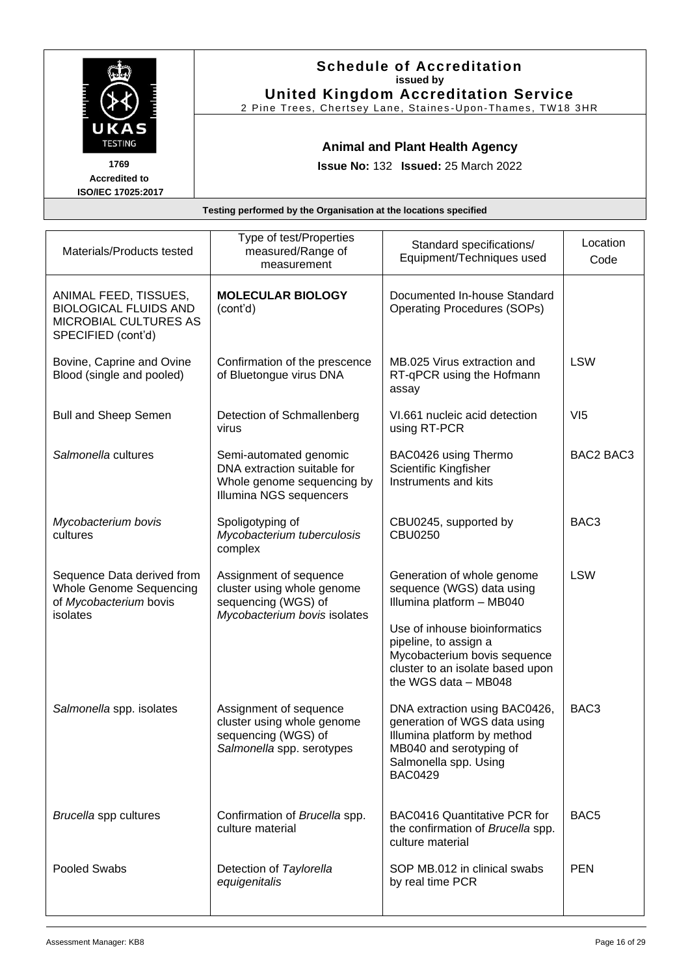|                                            | <b>Schedule of Accreditation</b><br>issued by<br><b>United Kingdom Accreditation Service</b><br>2 Pine Trees, Chertsey Lane, Staines-Upon-Thames, TW18 3HR |
|--------------------------------------------|------------------------------------------------------------------------------------------------------------------------------------------------------------|
| UKAS<br><b>TESTING</b><br>1769             | <b>Animal and Plant Health Agency</b><br><b>Issue No: 132 Issued: 25 March 2022</b>                                                                        |
| <b>Accredited to</b><br>ISO/IEC 17025:2017 |                                                                                                                                                            |
|                                            | Testing performed by the Organisation at the locations specified                                                                                           |
|                                            |                                                                                                                                                            |

| Materials/Products tested                                                                            | Type of test/Properties<br>measured/Range of<br>measurement                                                    | Standard specifications/<br>Equipment/Techniques used                                                                                                                                                                                      | Location<br>Code |
|------------------------------------------------------------------------------------------------------|----------------------------------------------------------------------------------------------------------------|--------------------------------------------------------------------------------------------------------------------------------------------------------------------------------------------------------------------------------------------|------------------|
| ANIMAL FEED, TISSUES,<br><b>BIOLOGICAL FLUIDS AND</b><br>MICROBIAL CULTURES AS<br>SPECIFIED (cont'd) | <b>MOLECULAR BIOLOGY</b><br>(cont'd)                                                                           | Documented In-house Standard<br><b>Operating Procedures (SOPs)</b>                                                                                                                                                                         |                  |
| Bovine, Caprine and Ovine<br>Blood (single and pooled)                                               | Confirmation of the prescence<br>of Bluetongue virus DNA                                                       | MB.025 Virus extraction and<br>RT-qPCR using the Hofmann<br>assay                                                                                                                                                                          | <b>LSW</b>       |
| <b>Bull and Sheep Semen</b>                                                                          | Detection of Schmallenberg<br>virus                                                                            | VI.661 nucleic acid detection<br>using RT-PCR                                                                                                                                                                                              | VI5              |
| Salmonella cultures                                                                                  | Semi-automated genomic<br>DNA extraction suitable for<br>Whole genome sequencing by<br>Illumina NGS sequencers | BAC0426 using Thermo<br>Scientific Kingfisher<br>Instruments and kits                                                                                                                                                                      | BAC2 BAC3        |
| Mycobacterium bovis<br>cultures                                                                      | Spoligotyping of<br>Mycobacterium tuberculosis<br>complex                                                      | CBU0245, supported by<br><b>CBU0250</b>                                                                                                                                                                                                    | BAC <sub>3</sub> |
| Sequence Data derived from<br><b>Whole Genome Sequencing</b><br>of Mycobacterium bovis<br>isolates   | Assignment of sequence<br>cluster using whole genome<br>sequencing (WGS) of<br>Mycobacterium bovis isolates    | Generation of whole genome<br>sequence (WGS) data using<br>Illumina platform - MB040<br>Use of inhouse bioinformatics<br>pipeline, to assign a<br>Mycobacterium bovis sequence<br>cluster to an isolate based upon<br>the WGS data - MB048 | <b>LSW</b>       |
| Salmonella spp. isolates                                                                             | Assignment of sequence<br>cluster using whole genome<br>sequencing (WGS) of<br>Salmonella spp. serotypes       | DNA extraction using BAC0426,<br>generation of WGS data using<br>Illumina platform by method<br>MB040 and serotyping of<br>Salmonella spp. Using<br><b>BAC0429</b>                                                                         | BAC3             |
| Brucella spp cultures                                                                                | Confirmation of Brucella spp.<br>culture material                                                              | <b>BAC0416 Quantitative PCR for</b><br>the confirmation of Brucella spp.<br>culture material                                                                                                                                               | BAC <sub>5</sub> |
| Pooled Swabs                                                                                         | Detection of Taylorella<br>equigenitalis                                                                       | SOP MB.012 in clinical swabs<br>by real time PCR                                                                                                                                                                                           | <b>PEN</b>       |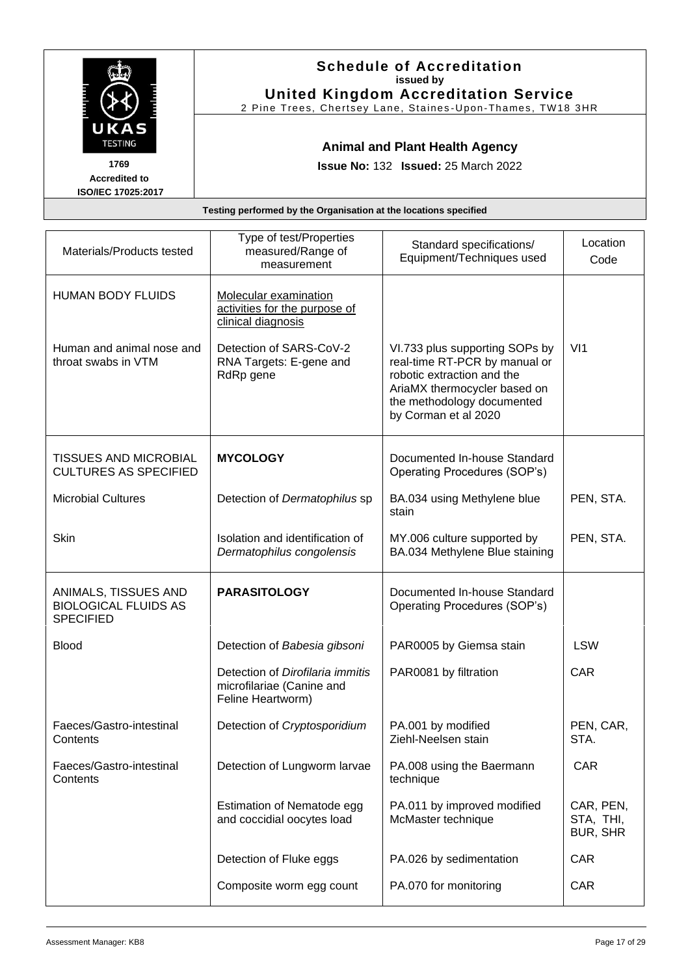|                                                    | <b>Schedule of Accreditation</b><br>issued by<br><b>United Kingdom Accreditation Service</b><br>2 Pine Trees, Chertsey Lane, Staines-Upon-Thames, TW18 3HR |
|----------------------------------------------------|------------------------------------------------------------------------------------------------------------------------------------------------------------|
| UKAS<br><b>TESTING</b>                             | <b>Animal and Plant Health Agency</b>                                                                                                                      |
| 1769<br><b>Accredited to</b><br>ISO/IEC 17025:2017 | <b>Issue No: 132 Issued: 25 March 2022</b>                                                                                                                 |
|                                                    | Testing performed by the Organisation at the locations specified                                                                                           |

| Materials/Products tested                                               | Type of test/Properties<br>measured/Range of<br>measurement                        | Standard specifications/<br>Equipment/Techniques used                                                                                                                               | Location<br>Code                          |
|-------------------------------------------------------------------------|------------------------------------------------------------------------------------|-------------------------------------------------------------------------------------------------------------------------------------------------------------------------------------|-------------------------------------------|
| <b>HUMAN BODY FLUIDS</b>                                                | Molecular examination<br>activities for the purpose of<br>clinical diagnosis       |                                                                                                                                                                                     |                                           |
| Human and animal nose and<br>throat swabs in VTM                        | Detection of SARS-CoV-2<br>RNA Targets: E-gene and<br>RdRp gene                    | VI.733 plus supporting SOPs by<br>real-time RT-PCR by manual or<br>robotic extraction and the<br>AriaMX thermocycler based on<br>the methodology documented<br>by Corman et al 2020 | VI1                                       |
| <b>TISSUES AND MICROBIAL</b><br><b>CULTURES AS SPECIFIED</b>            | <b>MYCOLOGY</b>                                                                    | Documented In-house Standard<br>Operating Procedures (SOP's)                                                                                                                        |                                           |
| <b>Microbial Cultures</b>                                               | Detection of Dermatophilus sp                                                      | BA.034 using Methylene blue<br>stain                                                                                                                                                | PEN, STA.                                 |
| Skin                                                                    | Isolation and identification of<br>Dermatophilus congolensis                       | MY.006 culture supported by<br>BA.034 Methylene Blue staining                                                                                                                       | PEN, STA.                                 |
| ANIMALS, TISSUES AND<br><b>BIOLOGICAL FLUIDS AS</b><br><b>SPECIFIED</b> | <b>PARASITOLOGY</b>                                                                | Documented In-house Standard<br>Operating Procedures (SOP's)                                                                                                                        |                                           |
| <b>Blood</b>                                                            | Detection of Babesia gibsoni                                                       | PAR0005 by Giemsa stain                                                                                                                                                             | <b>LSW</b>                                |
|                                                                         | Detection of Dirofilaria immitis<br>microfilariae (Canine and<br>Feline Heartworm) | PAR0081 by filtration                                                                                                                                                               | CAR                                       |
| Faeces/Gastro-intestinal<br>Contents                                    | Detection of Cryptosporidium                                                       | PA.001 by modified<br>Ziehl-Neelsen stain                                                                                                                                           | PEN, CAR,<br>STA.                         |
| Faeces/Gastro-intestinal<br>Contents                                    | Detection of Lungworm larvae                                                       | PA.008 using the Baermann<br>technique                                                                                                                                              | <b>CAR</b>                                |
|                                                                         | Estimation of Nematode egg<br>and coccidial oocytes load                           | PA.011 by improved modified<br>McMaster technique                                                                                                                                   | CAR, PEN,<br>STA, THI,<br><b>BUR, SHR</b> |
|                                                                         | Detection of Fluke eggs                                                            | PA.026 by sedimentation                                                                                                                                                             | CAR                                       |
|                                                                         | Composite worm egg count                                                           | PA.070 for monitoring                                                                                                                                                               | CAR                                       |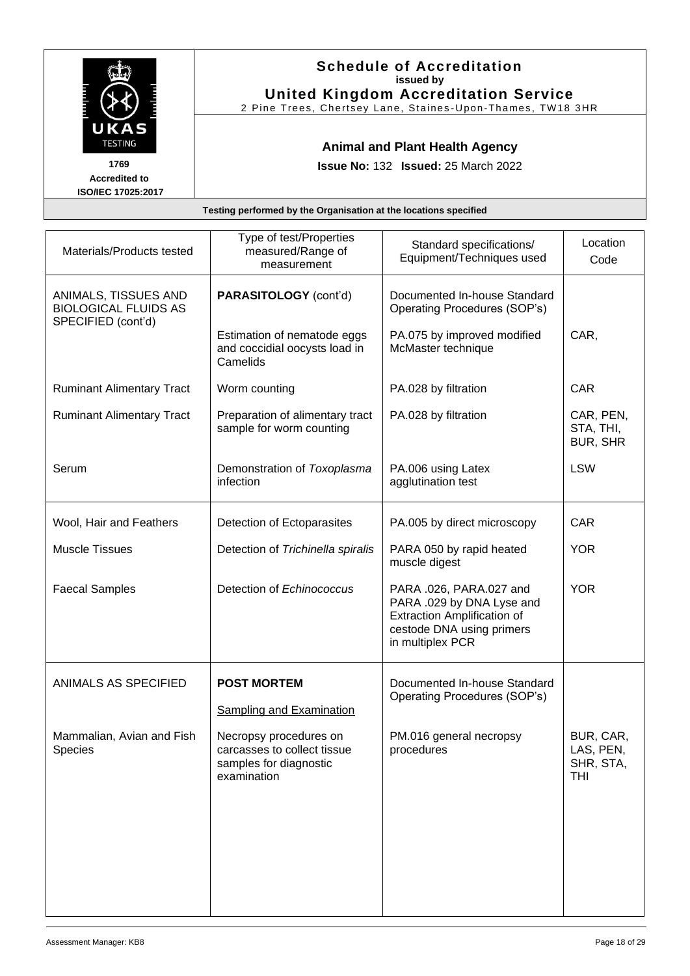|                                                                              |                                                                                     | <b>Schedule of Accreditation</b><br>issued by<br><b>United Kingdom Accreditation Service</b><br>2 Pine Trees, Chertsey Lane, Staines-Upon-Thames, TW18 3HR |                        |
|------------------------------------------------------------------------------|-------------------------------------------------------------------------------------|------------------------------------------------------------------------------------------------------------------------------------------------------------|------------------------|
| UKAS<br><b>TESTING</b><br>1769<br><b>Accredited to</b><br>ISO/IEC 17025:2017 | <b>Animal and Plant Health Agency</b><br><b>Issue No: 132 Issued: 25 March 2022</b> |                                                                                                                                                            |                        |
|                                                                              | Testing performed by the Organisation at the locations specified                    |                                                                                                                                                            |                        |
| Materials/Products tested                                                    | Type of test/Properties<br>measured/Range of                                        | Standard specifications/<br>Equipment/Techniques used                                                                                                      | Location<br>$C^{\sim}$ |

| Materials/Products tested                                                 | measured/Range of<br>measurement                                                               | Standard specifications/<br>Equipment/Techniques used                                                                                       | Lucauun<br>Code                            |
|---------------------------------------------------------------------------|------------------------------------------------------------------------------------------------|---------------------------------------------------------------------------------------------------------------------------------------------|--------------------------------------------|
| ANIMALS, TISSUES AND<br><b>BIOLOGICAL FLUIDS AS</b><br>SPECIFIED (cont'd) | PARASITOLOGY (cont'd)                                                                          | Documented In-house Standard<br>Operating Procedures (SOP's)                                                                                |                                            |
|                                                                           | Estimation of nematode eggs<br>and coccidial oocysts load in<br>Camelids                       | PA.075 by improved modified<br>McMaster technique                                                                                           | CAR,                                       |
| <b>Ruminant Alimentary Tract</b>                                          | Worm counting                                                                                  | PA.028 by filtration                                                                                                                        | CAR                                        |
| <b>Ruminant Alimentary Tract</b>                                          | Preparation of alimentary tract<br>sample for worm counting                                    | PA.028 by filtration                                                                                                                        | CAR, PEN,<br>STA, THI,<br><b>BUR, SHR</b>  |
| Serum                                                                     | Demonstration of Toxoplasma<br>infection                                                       | PA.006 using Latex<br>agglutination test                                                                                                    | <b>LSW</b>                                 |
| Wool, Hair and Feathers                                                   | Detection of Ectoparasites                                                                     | PA.005 by direct microscopy                                                                                                                 | <b>CAR</b>                                 |
| <b>Muscle Tissues</b>                                                     | Detection of Trichinella spiralis                                                              | PARA 050 by rapid heated<br>muscle digest                                                                                                   | <b>YOR</b>                                 |
| <b>Faecal Samples</b>                                                     | Detection of Echinococcus                                                                      | PARA .026, PARA.027 and<br>PARA .029 by DNA Lyse and<br><b>Extraction Amplification of</b><br>cestode DNA using primers<br>in multiplex PCR | <b>YOR</b>                                 |
| ANIMALS AS SPECIFIED                                                      | <b>POST MORTEM</b>                                                                             | Documented In-house Standard<br>Operating Procedures (SOP's)                                                                                |                                            |
|                                                                           | <b>Sampling and Examination</b>                                                                |                                                                                                                                             |                                            |
| Mammalian, Avian and Fish<br><b>Species</b>                               | Necropsy procedures on<br>carcasses to collect tissue<br>samples for diagnostic<br>examination | PM.016 general necropsy<br>procedures                                                                                                       | BUR, CAR,<br>LAS, PEN,<br>SHR, STA,<br>THI |
|                                                                           |                                                                                                |                                                                                                                                             |                                            |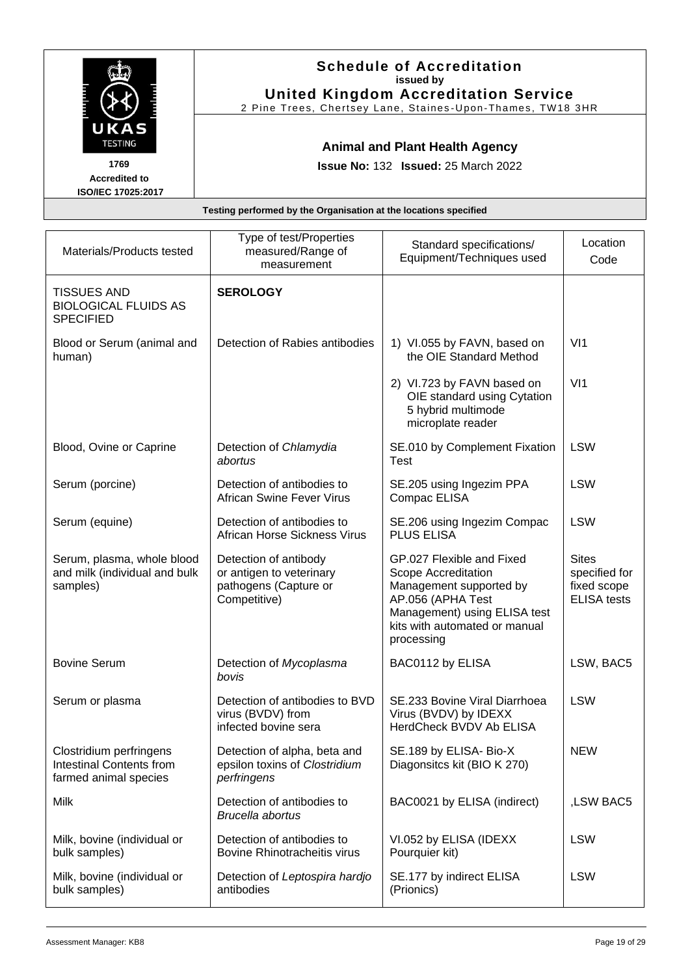|                                                   | <b>Schedule of Accreditation</b><br>issued by<br><b>United Kingdom Accreditation Service</b><br>2 Pine Trees, Chertsey Lane, Staines-Upon-Thames, TW18 3HR |
|---------------------------------------------------|------------------------------------------------------------------------------------------------------------------------------------------------------------|
| UKAS<br><b>TESTING</b><br>1769                    | <b>Animal and Plant Health Agency</b><br><b>Issue No: 132 Issued: 25 March 2022</b>                                                                        |
| <b>Accredited to</b><br><b>ISO/IEC 17025:2017</b> |                                                                                                                                                            |
|                                                   | Testing performed by the Organisation at the locations specified                                                                                           |
|                                                   |                                                                                                                                                            |

| Materials/Products tested                                                           | Type of test/Properties<br>measured/Range of<br>measurement                                | Standard specifications/<br>Equipment/Techniques used                                                                                                                           | Location<br>Code                                                   |
|-------------------------------------------------------------------------------------|--------------------------------------------------------------------------------------------|---------------------------------------------------------------------------------------------------------------------------------------------------------------------------------|--------------------------------------------------------------------|
| <b>TISSUES AND</b><br><b>BIOLOGICAL FLUIDS AS</b><br><b>SPECIFIED</b>               | <b>SEROLOGY</b>                                                                            |                                                                                                                                                                                 |                                                                    |
| Blood or Serum (animal and<br>human)                                                | Detection of Rabies antibodies                                                             | 1) VI.055 by FAVN, based on<br>the OIE Standard Method                                                                                                                          | V <sub>11</sub>                                                    |
|                                                                                     |                                                                                            | 2) VI.723 by FAVN based on<br>OIE standard using Cytation<br>5 hybrid multimode<br>microplate reader                                                                            | V <sub>11</sub>                                                    |
| Blood, Ovine or Caprine                                                             | Detection of Chlamydia<br>abortus                                                          | SE.010 by Complement Fixation<br><b>Test</b>                                                                                                                                    | <b>LSW</b>                                                         |
| Serum (porcine)                                                                     | Detection of antibodies to<br><b>African Swine Fever Virus</b>                             | SE.205 using Ingezim PPA<br>Compac ELISA                                                                                                                                        | <b>LSW</b>                                                         |
| Serum (equine)                                                                      | Detection of antibodies to<br>African Horse Sickness Virus                                 | SE.206 using Ingezim Compac<br><b>PLUS ELISA</b>                                                                                                                                | <b>LSW</b>                                                         |
| Serum, plasma, whole blood<br>and milk (individual and bulk<br>samples)             | Detection of antibody<br>or antigen to veterinary<br>pathogens (Capture or<br>Competitive) | GP.027 Flexible and Fixed<br>Scope Accreditation<br>Management supported by<br>AP.056 (APHA Test<br>Management) using ELISA test<br>kits with automated or manual<br>processing | <b>Sites</b><br>specified for<br>fixed scope<br><b>ELISA</b> tests |
| <b>Bovine Serum</b>                                                                 | Detection of Mycoplasma<br>bovis                                                           | BAC0112 by ELISA                                                                                                                                                                | LSW, BAC5                                                          |
| Serum or plasma                                                                     | Detection of antibodies to BVD<br>virus (BVDV) from<br>infected bovine sera                | SE.233 Bovine Viral Diarrhoea<br>Virus (BVDV) by IDEXX<br>HerdCheck BVDV Ab ELISA                                                                                               | <b>LSW</b>                                                         |
| Clostridium perfringens<br><b>Intestinal Contents from</b><br>farmed animal species | Detection of alpha, beta and<br>epsilon toxins of Clostridium<br>perfringens               | SE.189 by ELISA- Bio-X<br>Diagonsitcs kit (BIO K 270)                                                                                                                           | <b>NEW</b>                                                         |
| Milk                                                                                | Detection of antibodies to<br>Brucella abortus                                             | BAC0021 by ELISA (indirect)                                                                                                                                                     | ,LSW BAC5                                                          |
| Milk, bovine (individual or<br>bulk samples)                                        | Detection of antibodies to<br><b>Bovine Rhinotracheitis virus</b>                          | VI.052 by ELISA (IDEXX<br>Pourquier kit)                                                                                                                                        | <b>LSW</b>                                                         |
| Milk, bovine (individual or<br>bulk samples)                                        | Detection of Leptospira hardjo<br>antibodies                                               | SE.177 by indirect ELISA<br>(Prionics)                                                                                                                                          | <b>LSW</b>                                                         |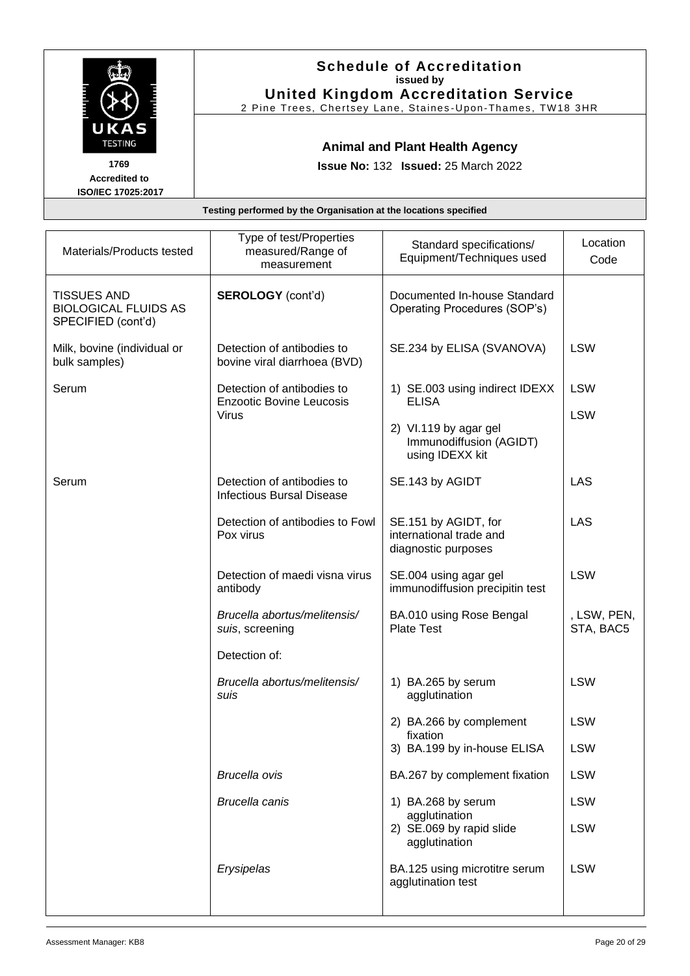|                                                                              |                                                                  | <b>Schedule of Accreditation</b><br>issued by<br><b>United Kingdom Accreditation Service</b><br>2 Pine Trees, Chertsey Lane, Staines-Upon-Thames, TW18 3HR |         |
|------------------------------------------------------------------------------|------------------------------------------------------------------|------------------------------------------------------------------------------------------------------------------------------------------------------------|---------|
| UKAS<br><b>TESTING</b><br>1769<br><b>Accredited to</b><br>ISO/IEC 17025:2017 |                                                                  | <b>Animal and Plant Health Agency</b><br><b>Issue No: 132 Issued: 25 March 2022</b>                                                                        |         |
|                                                                              | Testing performed by the Organisation at the locations specified |                                                                                                                                                            |         |
|                                                                              | Type of test/Properties                                          | $C$ tondord onooifiootional                                                                                                                                | ocation |

| Materials/Products tested                                               | Type of test/Properties<br>measured/Range of<br>measurement    | Standard specifications/<br>Equipment/Techniques used                  | Location<br>Code         |
|-------------------------------------------------------------------------|----------------------------------------------------------------|------------------------------------------------------------------------|--------------------------|
| <b>TISSUES AND</b><br><b>BIOLOGICAL FLUIDS AS</b><br>SPECIFIED (cont'd) | <b>SEROLOGY</b> (cont'd)                                       | Documented In-house Standard<br>Operating Procedures (SOP's)           |                          |
| Milk, bovine (individual or<br>bulk samples)                            | Detection of antibodies to<br>bovine viral diarrhoea (BVD)     | SE.234 by ELISA (SVANOVA)                                              | <b>LSW</b>               |
| Serum                                                                   | Detection of antibodies to<br><b>Enzootic Bovine Leucosis</b>  | 1) SE.003 using indirect IDEXX<br><b>ELISA</b>                         | <b>LSW</b>               |
|                                                                         | <b>Virus</b>                                                   | 2) VI.119 by agar gel<br>Immunodiffusion (AGIDT)<br>using IDEXX kit    | <b>LSW</b>               |
| Serum                                                                   | Detection of antibodies to<br><b>Infectious Bursal Disease</b> | SE.143 by AGIDT                                                        | <b>LAS</b>               |
|                                                                         | Detection of antibodies to Fowl<br>Pox virus                   | SE.151 by AGIDT, for<br>international trade and<br>diagnostic purposes | <b>LAS</b>               |
|                                                                         | Detection of maedi visna virus<br>antibody                     | SE.004 using agar gel<br>immunodiffusion precipitin test               | <b>LSW</b>               |
|                                                                         | Brucella abortus/melitensis/<br>suis, screening                | BA.010 using Rose Bengal<br><b>Plate Test</b>                          | , LSW, PEN,<br>STA, BAC5 |
|                                                                         | Detection of:                                                  |                                                                        |                          |
|                                                                         | Brucella abortus/melitensis/<br>suis                           | 1) BA.265 by serum<br>agglutination                                    | <b>LSW</b>               |
|                                                                         |                                                                | 2) BA.266 by complement<br>fixation                                    | <b>LSW</b>               |
|                                                                         |                                                                | 3) BA.199 by in-house ELISA                                            | <b>LSW</b>               |
|                                                                         | <b>Brucella ovis</b>                                           | BA.267 by complement fixation                                          | <b>LSW</b>               |
|                                                                         | <b>Brucella canis</b>                                          | 1) BA.268 by serum<br>agglutination                                    | <b>LSW</b>               |
|                                                                         |                                                                | 2) SE.069 by rapid slide<br>agglutination                              | <b>LSW</b>               |
|                                                                         | Erysipelas                                                     | BA.125 using microtitre serum<br>agglutination test                    | <b>LSW</b>               |
|                                                                         |                                                                |                                                                        |                          |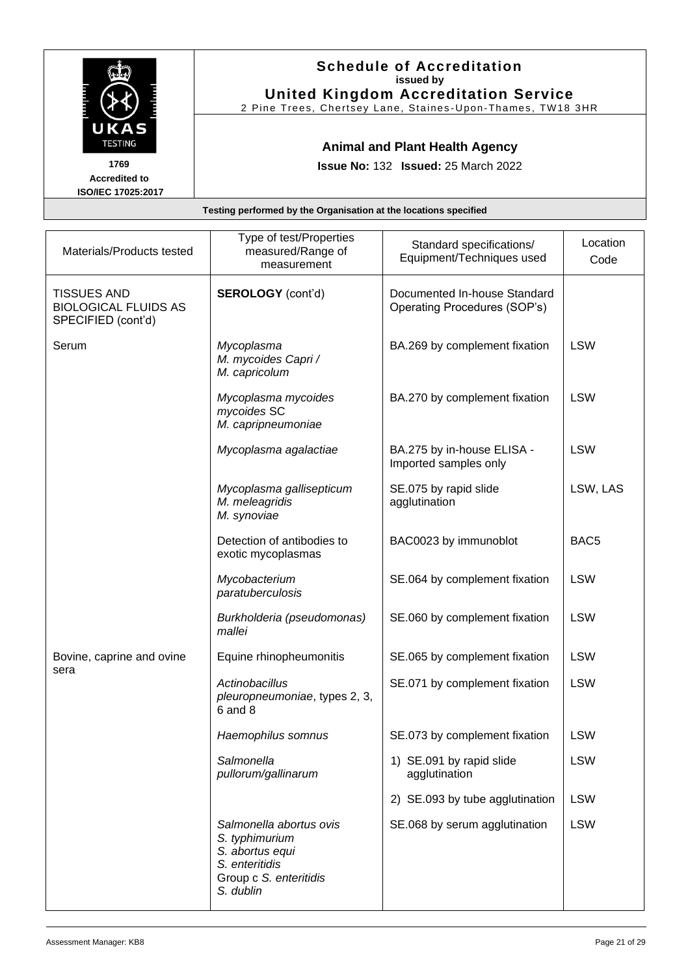|                              | <b>Schedule of Accreditation</b><br>issued by<br><b>United Kingdom Accreditation Service</b><br>2 Pine Trees, Chertsey Lane, Staines-Upon-Thames, TW18 3HR |
|------------------------------|------------------------------------------------------------------------------------------------------------------------------------------------------------|
| UKAS<br><b>TESTING</b>       | <b>Animal and Plant Health Agency</b>                                                                                                                      |
| 1769<br><b>Accredited to</b> | <b>Issue No: 132 Issued: 25 March 2022</b>                                                                                                                 |
| ISO/IEC 17025:2017           |                                                                                                                                                            |
|                              | Testing performed by the Organisation at the locations specified                                                                                           |

| Materials/Products tested                                               | Type of test/Properties<br>measured/Range of<br>measurement                                                           | Standard specifications/<br>Equipment/Techniques used        | Location<br>Code |
|-------------------------------------------------------------------------|-----------------------------------------------------------------------------------------------------------------------|--------------------------------------------------------------|------------------|
| <b>TISSUES AND</b><br><b>BIOLOGICAL FLUIDS AS</b><br>SPECIFIED (cont'd) | <b>SEROLOGY</b> (cont'd)                                                                                              | Documented In-house Standard<br>Operating Procedures (SOP's) |                  |
| Serum                                                                   | Mycoplasma<br>M. mycoides Capri /<br>M. capricolum                                                                    | BA.269 by complement fixation                                | <b>LSW</b>       |
|                                                                         | Mycoplasma mycoides<br>mycoides SC<br>M. capripneumoniae                                                              | BA.270 by complement fixation                                | <b>LSW</b>       |
|                                                                         | Mycoplasma agalactiae                                                                                                 | BA.275 by in-house ELISA -<br>Imported samples only          | <b>LSW</b>       |
|                                                                         | Mycoplasma gallisepticum<br>M. meleagridis<br>M. synoviae                                                             | SE.075 by rapid slide<br>agglutination                       | LSW, LAS         |
|                                                                         | Detection of antibodies to<br>exotic mycoplasmas                                                                      | BAC0023 by immunoblot                                        | BAC <sub>5</sub> |
|                                                                         | Mycobacterium<br>paratuberculosis                                                                                     | SE.064 by complement fixation                                | <b>LSW</b>       |
|                                                                         | Burkholderia (pseudomonas)<br>mallei                                                                                  | SE.060 by complement fixation                                | <b>LSW</b>       |
| Bovine, caprine and ovine                                               | Equine rhinopheumonitis                                                                                               | SE.065 by complement fixation                                | <b>LSW</b>       |
| sera                                                                    | Actinobacillus<br>pleuropneumoniae, types 2, 3,<br>6 and 8                                                            | SE.071 by complement fixation                                | <b>LSW</b>       |
|                                                                         | Haemophilus somnus                                                                                                    | SE.073 by complement fixation                                | <b>LSW</b>       |
|                                                                         | Salmonella<br>pullorum/gallinarum                                                                                     | 1) SE.091 by rapid slide<br>agglutination                    | <b>LSW</b>       |
|                                                                         |                                                                                                                       | 2) SE.093 by tube agglutination                              | <b>LSW</b>       |
|                                                                         | Salmonella abortus ovis<br>S. typhimurium<br>S. abortus equi<br>S. enteritidis<br>Group c S. enteritidis<br>S. dublin | SE.068 by serum agglutination                                | <b>LSW</b>       |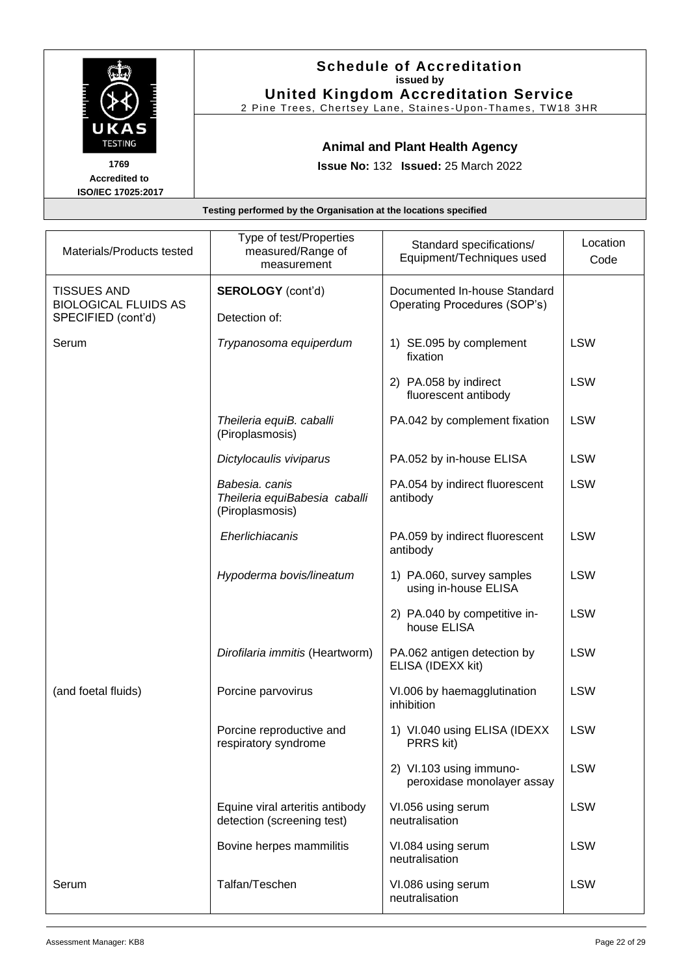|                                            | <b>Schedule of Accreditation</b><br>issued by<br><b>United Kingdom Accreditation Service</b><br>2 Pine Trees, Chertsey Lane, Staines-Upon-Thames, TW18 3HR |
|--------------------------------------------|------------------------------------------------------------------------------------------------------------------------------------------------------------|
| UKAS<br><b>TESTING</b><br>1769             | <b>Animal and Plant Health Agency</b><br><b>Issue No: 132 Issued: 25 March 2022</b>                                                                        |
| <b>Accredited to</b><br>ISO/IEC 17025:2017 |                                                                                                                                                            |
|                                            | Testing performed by the Organisation at the locations specified                                                                                           |

| Materials/Products tested                                               | Type of test/Properties<br>measured/Range of<br>measurement        | Standard specifications/<br>Equipment/Techniques used        | Location<br>Code |
|-------------------------------------------------------------------------|--------------------------------------------------------------------|--------------------------------------------------------------|------------------|
| <b>TISSUES AND</b><br><b>BIOLOGICAL FLUIDS AS</b><br>SPECIFIED (cont'd) | <b>SEROLOGY</b> (cont'd)<br>Detection of:                          | Documented In-house Standard<br>Operating Procedures (SOP's) |                  |
| Serum                                                                   | Trypanosoma equiperdum                                             | 1) SE.095 by complement<br>fixation                          | <b>LSW</b>       |
|                                                                         |                                                                    | 2) PA.058 by indirect<br>fluorescent antibody                | <b>LSW</b>       |
|                                                                         | Theileria equiB. caballi<br>(Piroplasmosis)                        | PA.042 by complement fixation                                | <b>LSW</b>       |
|                                                                         | Dictylocaulis viviparus                                            | PA.052 by in-house ELISA                                     | <b>LSW</b>       |
|                                                                         | Babesia. canis<br>Theileria equiBabesia caballi<br>(Piroplasmosis) | PA.054 by indirect fluorescent<br>antibody                   | <b>LSW</b>       |
|                                                                         | Eherlichiacanis                                                    | PA.059 by indirect fluorescent<br>antibody                   | <b>LSW</b>       |
|                                                                         | Hypoderma bovis/lineatum                                           | 1) PA.060, survey samples<br>using in-house ELISA            | <b>LSW</b>       |
|                                                                         |                                                                    | 2) PA.040 by competitive in-<br>house ELISA                  | <b>LSW</b>       |
|                                                                         | Dirofilaria immitis (Heartworm)                                    | PA.062 antigen detection by<br>ELISA (IDEXX kit)             | <b>LSW</b>       |
| (and foetal fluids)                                                     | Porcine parvovirus                                                 | VI.006 by haemagglutination<br>inhibition                    | <b>LSW</b>       |
|                                                                         | Porcine reproductive and<br>respiratory syndrome                   | 1) VI.040 using ELISA (IDEXX<br>PRRS kit)                    | <b>LSW</b>       |
|                                                                         |                                                                    | 2) VI.103 using immuno-<br>peroxidase monolayer assay        | <b>LSW</b>       |
|                                                                         | Equine viral arteritis antibody<br>detection (screening test)      | VI.056 using serum<br>neutralisation                         | <b>LSW</b>       |
|                                                                         | Bovine herpes mammilitis                                           | VI.084 using serum<br>neutralisation                         | <b>LSW</b>       |
| Serum                                                                   | Talfan/Teschen                                                     | VI.086 using serum<br>neutralisation                         | <b>LSW</b>       |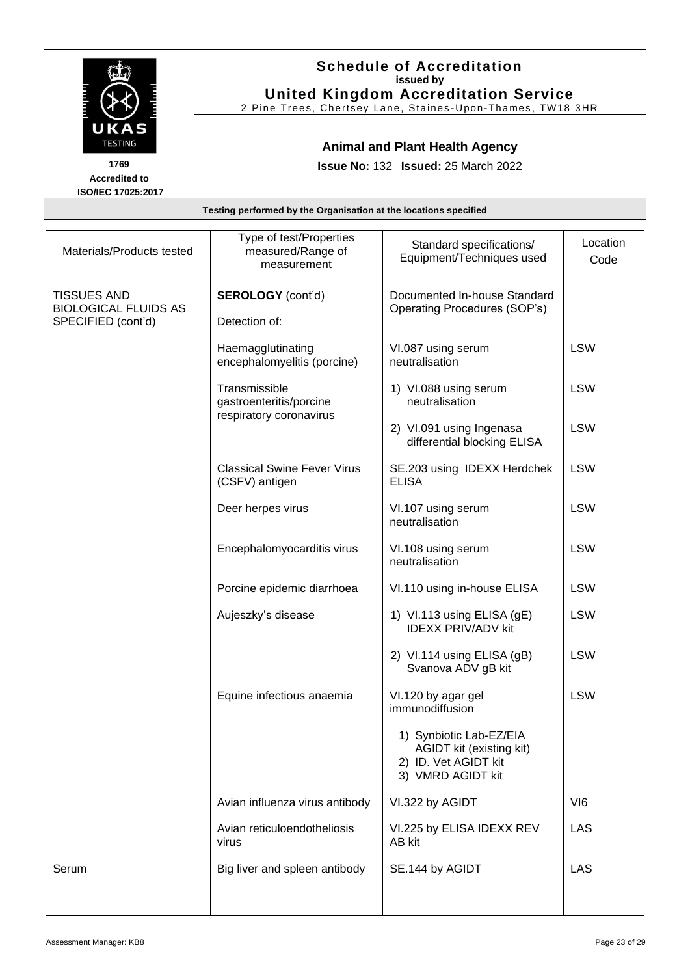|                                            | <b>Schedule of Accreditation</b><br>issued by<br><b>United Kingdom Accreditation Service</b><br>2 Pine Trees, Chertsey Lane, Staines-Upon-Thames, TW18 3HR |
|--------------------------------------------|------------------------------------------------------------------------------------------------------------------------------------------------------------|
| UKAS<br><b>TESTING</b><br>1769             | <b>Animal and Plant Health Agency</b>                                                                                                                      |
| <b>Accredited to</b><br>ISO/IEC 17025:2017 | <b>Issue No: 132 Issued: 25 March 2022</b>                                                                                                                 |
|                                            | Testing performed by the Organisation at the locations specified                                                                                           |
|                                            |                                                                                                                                                            |

| Materials/Products tested                                               | Type of test/Properties<br>measured/Range of<br>measurement         | Standard specifications/<br>Equipment/Techniques used                                            | Location<br>Code |
|-------------------------------------------------------------------------|---------------------------------------------------------------------|--------------------------------------------------------------------------------------------------|------------------|
| <b>TISSUES AND</b><br><b>BIOLOGICAL FLUIDS AS</b><br>SPECIFIED (cont'd) | <b>SEROLOGY</b> (cont'd)<br>Detection of:                           | Documented In-house Standard<br>Operating Procedures (SOP's)                                     |                  |
|                                                                         | Haemagglutinating<br>encephalomyelitis (porcine)                    | VI.087 using serum<br>neutralisation                                                             | <b>LSW</b>       |
|                                                                         | Transmissible<br>gastroenteritis/porcine<br>respiratory coronavirus | 1) VI.088 using serum<br>neutralisation                                                          | <b>LSW</b>       |
|                                                                         |                                                                     | 2) VI.091 using Ingenasa<br>differential blocking ELISA                                          | <b>LSW</b>       |
|                                                                         | <b>Classical Swine Fever Virus</b><br>(CSFV) antigen                | SE.203 using IDEXX Herdchek<br><b>ELISA</b>                                                      | <b>LSW</b>       |
|                                                                         | Deer herpes virus                                                   | VI.107 using serum<br>neutralisation                                                             | <b>LSW</b>       |
|                                                                         | Encephalomyocarditis virus                                          | VI.108 using serum<br>neutralisation                                                             | <b>LSW</b>       |
|                                                                         | Porcine epidemic diarrhoea                                          | VI.110 using in-house ELISA                                                                      | <b>LSW</b>       |
|                                                                         | Aujeszky's disease                                                  | 1) VI.113 using ELISA (gE)<br><b>IDEXX PRIV/ADV kit</b>                                          | <b>LSW</b>       |
|                                                                         |                                                                     | 2) VI.114 using ELISA (gB)<br>Svanova ADV gB kit                                                 | <b>LSW</b>       |
|                                                                         | Equine infectious anaemia                                           | VI.120 by agar gel<br>immunodiffusion                                                            | <b>LSW</b>       |
|                                                                         |                                                                     | 1) Synbiotic Lab-EZ/EIA<br>AGIDT kit (existing kit)<br>2) ID. Vet AGIDT kit<br>3) VMRD AGIDT kit |                  |
|                                                                         | Avian influenza virus antibody                                      | VI.322 by AGIDT                                                                                  | VI <sub>6</sub>  |
|                                                                         | Avian reticuloendotheliosis<br>virus                                | VI.225 by ELISA IDEXX REV<br>AB kit                                                              | <b>LAS</b>       |
| Serum                                                                   | Big liver and spleen antibody                                       | SE.144 by AGIDT                                                                                  | LAS              |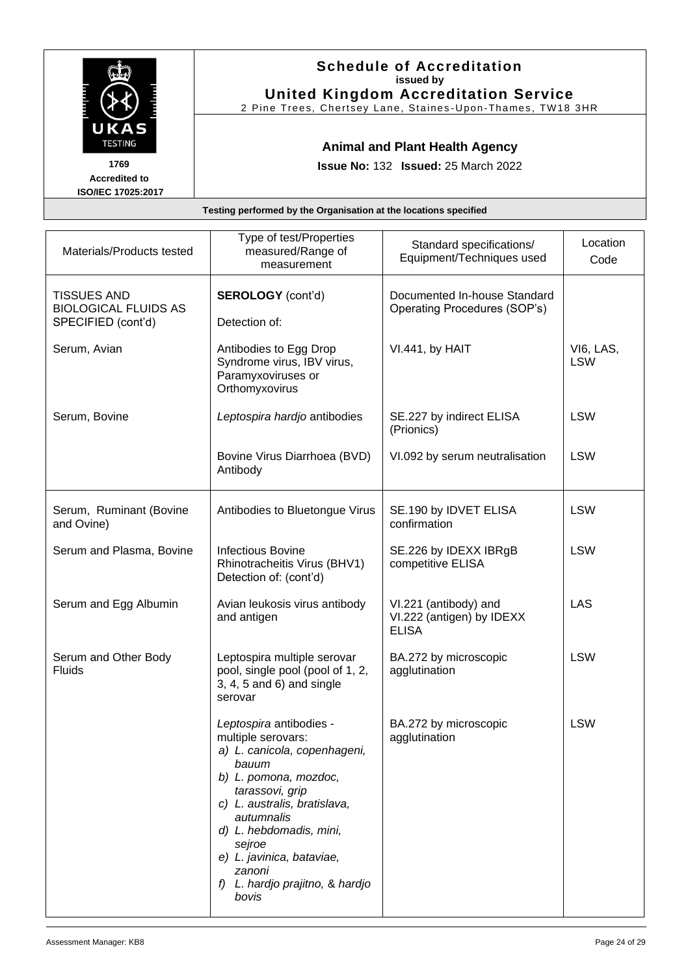|                                                    | <b>Schedule of Accreditation</b><br>issued by<br><b>United Kingdom Accreditation Service</b><br>2 Pine Trees, Chertsey Lane, Staines-Upon-Thames, TW18 3HR |
|----------------------------------------------------|------------------------------------------------------------------------------------------------------------------------------------------------------------|
| UKAS<br><b>TESTING</b>                             | <b>Animal and Plant Health Agency</b>                                                                                                                      |
| 1769<br><b>Accredited to</b><br>ISO/IEC 17025:2017 | <b>Issue No: 132 Issued: 25 March 2022</b>                                                                                                                 |
|                                                    | Testing performed by the Organisation at the locations specified                                                                                           |

| Materials/Products tested                                               | Type of test/Properties<br>measured/Range of<br>measurement                                                                                                                                                                                                                                              | Standard specifications/<br>Equipment/Techniques used              | Location<br>Code        |
|-------------------------------------------------------------------------|----------------------------------------------------------------------------------------------------------------------------------------------------------------------------------------------------------------------------------------------------------------------------------------------------------|--------------------------------------------------------------------|-------------------------|
| <b>TISSUES AND</b><br><b>BIOLOGICAL FLUIDS AS</b><br>SPECIFIED (cont'd) | <b>SEROLOGY</b> (cont'd)<br>Detection of:                                                                                                                                                                                                                                                                | Documented In-house Standard<br>Operating Procedures (SOP's)       |                         |
| Serum, Avian                                                            | Antibodies to Egg Drop<br>Syndrome virus, IBV virus,<br>Paramyxoviruses or<br>Orthomyxovirus                                                                                                                                                                                                             | VI.441, by HAIT                                                    | VI6, LAS,<br><b>LSW</b> |
| Serum, Bovine                                                           | Leptospira hardjo antibodies                                                                                                                                                                                                                                                                             | SE.227 by indirect ELISA<br>(Prionics)                             | <b>LSW</b>              |
|                                                                         | Bovine Virus Diarrhoea (BVD)<br>Antibody                                                                                                                                                                                                                                                                 | VI.092 by serum neutralisation                                     | <b>LSW</b>              |
| Serum, Ruminant (Bovine<br>and Ovine)                                   | Antibodies to Bluetongue Virus                                                                                                                                                                                                                                                                           | SE.190 by IDVET ELISA<br>confirmation                              | <b>LSW</b>              |
| Serum and Plasma, Bovine                                                | <b>Infectious Bovine</b><br>Rhinotracheitis Virus (BHV1)<br>Detection of: (cont'd)                                                                                                                                                                                                                       | SE.226 by IDEXX IBRgB<br>competitive ELISA                         | <b>LSW</b>              |
| Serum and Egg Albumin                                                   | Avian leukosis virus antibody<br>and antigen                                                                                                                                                                                                                                                             | VI.221 (antibody) and<br>VI.222 (antigen) by IDEXX<br><b>ELISA</b> | LAS                     |
| Serum and Other Body<br><b>Fluids</b>                                   | Leptospira multiple serovar<br>pool, single pool (pool of 1, 2,<br>$3, 4, 5$ and $6)$ and single<br>serovar                                                                                                                                                                                              | BA.272 by microscopic<br>agglutination                             | <b>LSW</b>              |
|                                                                         | Leptospira antibodies -<br>multiple serovars:<br>a) L. canicola, copenhageni,<br>bauum<br>b) L. pomona, mozdoc,<br>tarassovi, grip<br>c) L. australis, bratislava,<br>autumnalis<br>d) L. hebdomadis, mini,<br>sejroe<br>e) L. javinica, bataviae,<br>zanoni<br>f) L. hardjo prajitno, & hardjo<br>bovis | BA.272 by microscopic<br>agglutination                             | <b>LSW</b>              |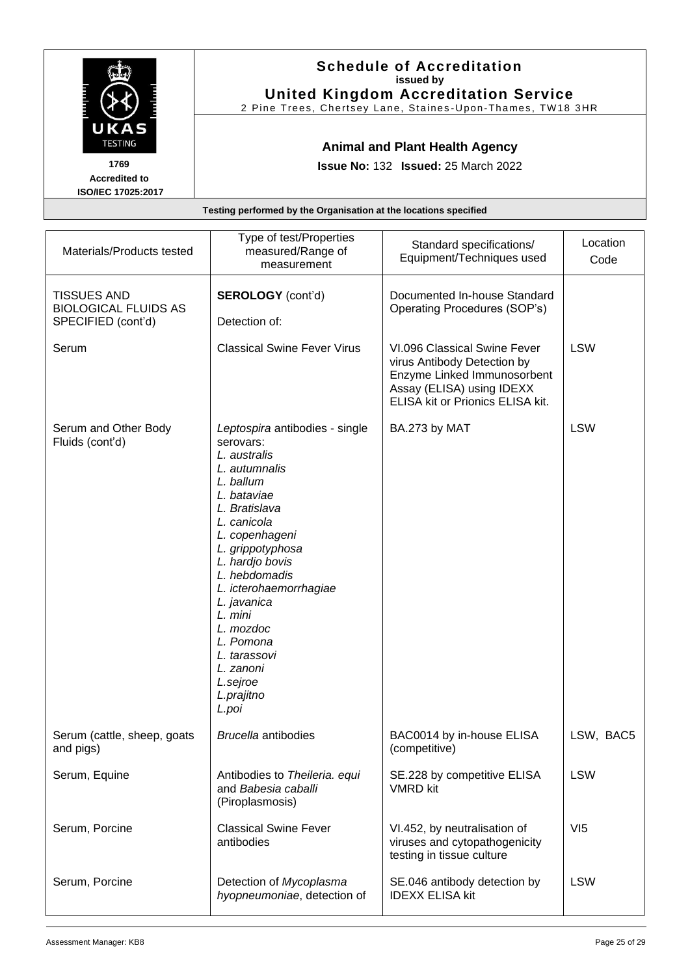|                                                                              |                                                                              | <b>Schedule of Accreditation</b><br>issued by<br><b>United Kingdom Accreditation Service</b><br>2 Pine Trees, Chertsey Lane, Staines-Upon-Thames, TW18 3HR |          |
|------------------------------------------------------------------------------|------------------------------------------------------------------------------|------------------------------------------------------------------------------------------------------------------------------------------------------------|----------|
| UKAS<br><b>TESTING</b><br>1769<br><b>Accredited to</b><br>ISO/IEC 17025:2017 | <b>Animal and Plant Health Agency</b><br>Issue No: 132 Issued: 25 March 2022 |                                                                                                                                                            |          |
|                                                                              | Testing performed by the Organisation at the locations specified             |                                                                                                                                                            |          |
| Materials/Products tested                                                    | Type of test/Properties<br>measured/Range of                                 | Standard specifications/<br>Equipment/Techniques used                                                                                                      | Location |

| Materials/Products tested                                               | measured/Range of<br>measurement                                                                                                                                                                                                                                                                                                                                 | Standard specifications/<br>Equipment/Techniques used                                                                                                       | Lucauun<br>Code |
|-------------------------------------------------------------------------|------------------------------------------------------------------------------------------------------------------------------------------------------------------------------------------------------------------------------------------------------------------------------------------------------------------------------------------------------------------|-------------------------------------------------------------------------------------------------------------------------------------------------------------|-----------------|
| <b>TISSUES AND</b><br><b>BIOLOGICAL FLUIDS AS</b><br>SPECIFIED (cont'd) | <b>SEROLOGY</b> (cont'd)<br>Detection of:                                                                                                                                                                                                                                                                                                                        | Documented In-house Standard<br>Operating Procedures (SOP's)                                                                                                |                 |
| Serum                                                                   | <b>Classical Swine Fever Virus</b>                                                                                                                                                                                                                                                                                                                               | VI.096 Classical Swine Fever<br>virus Antibody Detection by<br>Enzyme Linked Immunosorbent<br>Assay (ELISA) using IDEXX<br>ELISA kit or Prionics ELISA kit. | <b>LSW</b>      |
| Serum and Other Body<br>Fluids (cont'd)                                 | Leptospira antibodies - single<br>serovars:<br>L. australis<br>L. autumnalis<br>L. ballum<br>L. bataviae<br>L. Bratislava<br>L. canicola<br>L. copenhageni<br>L. grippotyphosa<br>L. hardjo bovis<br>L. hebdomadis<br>L. icterohaemorrhagiae<br>L. javanica<br>L. mini<br>L. mozdoc<br>L. Pomona<br>L. tarassovi<br>L. zanoni<br>L.sejroe<br>L.prajitno<br>L.poi | BA.273 by MAT                                                                                                                                               | <b>LSW</b>      |
| Serum (cattle, sheep, goats<br>and pigs)                                | <b>Brucella antibodies</b>                                                                                                                                                                                                                                                                                                                                       | BAC0014 by in-house ELISA<br>(competitive)                                                                                                                  | LSW, BAC5       |
| Serum, Equine                                                           | Antibodies to Theileria. equi<br>and Babesia caballi<br>(Piroplasmosis)                                                                                                                                                                                                                                                                                          | SE.228 by competitive ELISA<br><b>VMRD</b> kit                                                                                                              | <b>LSW</b>      |
| Serum, Porcine                                                          | <b>Classical Swine Fever</b><br>antibodies                                                                                                                                                                                                                                                                                                                       | VI.452, by neutralisation of<br>viruses and cytopathogenicity<br>testing in tissue culture                                                                  | VI5             |
| Serum, Porcine                                                          | Detection of Mycoplasma<br>hyopneumoniae, detection of                                                                                                                                                                                                                                                                                                           | SE.046 antibody detection by<br><b>IDEXX ELISA kit</b>                                                                                                      | <b>LSW</b>      |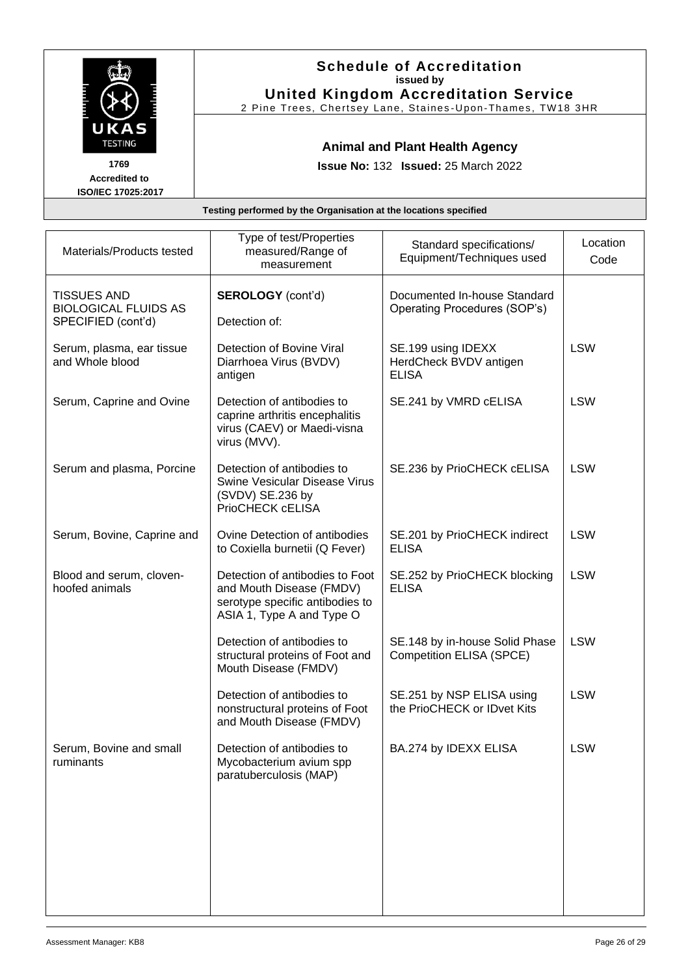|                        | <b>Schedule of Accreditation</b><br>issued by                                                             |
|------------------------|-----------------------------------------------------------------------------------------------------------|
|                        | <b>United Kingdom Accreditation Service</b><br>2 Pine Trees, Chertsey Lane, Staines-Upon-Thames, TW18 3HR |
| UKAS<br><b>TESTING</b> | <b>Animal and Plant Health Agency</b>                                                                     |
| 1769                   | <b>Issue No: 132 Issued: 25 March 2022</b>                                                                |
| <b>Accredited to</b>   |                                                                                                           |

| Materials/Products tested                                               | Type of test/Properties<br>measured/Range of<br>measurement                                                                 | Standard specifications/<br>Equipment/Techniques used             | Location<br>Code |
|-------------------------------------------------------------------------|-----------------------------------------------------------------------------------------------------------------------------|-------------------------------------------------------------------|------------------|
| <b>TISSUES AND</b><br><b>BIOLOGICAL FLUIDS AS</b><br>SPECIFIED (cont'd) | <b>SEROLOGY</b> (cont'd)<br>Detection of:                                                                                   | Documented In-house Standard<br>Operating Procedures (SOP's)      |                  |
| Serum, plasma, ear tissue<br>and Whole blood                            | Detection of Bovine Viral<br>Diarrhoea Virus (BVDV)<br>antigen                                                              | SE.199 using IDEXX<br>HerdCheck BVDV antigen<br><b>ELISA</b>      | <b>LSW</b>       |
| Serum, Caprine and Ovine                                                | Detection of antibodies to<br>caprine arthritis encephalitis<br>virus (CAEV) or Maedi-visna<br>virus (MVV).                 | SE.241 by VMRD cELISA                                             | <b>LSW</b>       |
| Serum and plasma, Porcine                                               | Detection of antibodies to<br><b>Swine Vesicular Disease Virus</b><br>(SVDV) SE.236 by<br>PrioCHECK cELISA                  | SE.236 by PrioCHECK cELISA                                        | <b>LSW</b>       |
| Serum, Bovine, Caprine and                                              | Ovine Detection of antibodies<br>to Coxiella burnetii (Q Fever)                                                             | SE.201 by PrioCHECK indirect<br><b>ELISA</b>                      | <b>LSW</b>       |
| Blood and serum, cloven-<br>hoofed animals                              | Detection of antibodies to Foot<br>and Mouth Disease (FMDV)<br>serotype specific antibodies to<br>ASIA 1, Type A and Type O | SE.252 by PrioCHECK blocking<br><b>ELISA</b>                      | <b>LSW</b>       |
|                                                                         | Detection of antibodies to<br>structural proteins of Foot and<br>Mouth Disease (FMDV)                                       | SE.148 by in-house Solid Phase<br><b>Competition ELISA (SPCE)</b> | <b>LSW</b>       |
|                                                                         | Detection of antibodies to<br>nonstructural proteins of Foot<br>and Mouth Disease (FMDV)                                    | SE.251 by NSP ELISA using<br>the PrioCHECK or IDvet Kits          | <b>LSW</b>       |
| Serum, Bovine and small<br>ruminants                                    | Detection of antibodies to<br>Mycobacterium avium spp<br>paratuberculosis (MAP)                                             | BA.274 by IDEXX ELISA                                             | <b>LSW</b>       |
|                                                                         |                                                                                                                             |                                                                   |                  |
|                                                                         |                                                                                                                             |                                                                   |                  |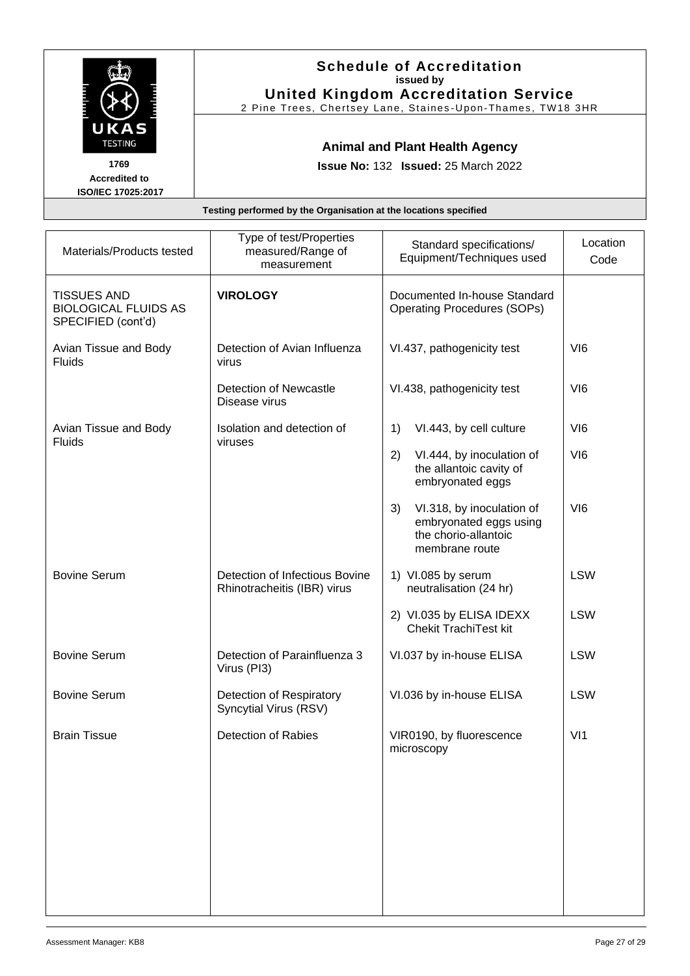|                                                    | <b>Schedule of Accreditation</b><br>issued by<br><b>United Kingdom Accreditation Service</b><br>2 Pine Trees, Chertsey Lane, Staines-Upon-Thames, TW18 3HR |
|----------------------------------------------------|------------------------------------------------------------------------------------------------------------------------------------------------------------|
| UKAS<br><b>TESTING</b>                             | <b>Animal and Plant Health Agency</b>                                                                                                                      |
| 1769<br><b>Accredited to</b><br>ISO/IEC 17025:2017 | <b>Issue No: 132 Issued: 25 March 2022</b>                                                                                                                 |
|                                                    | Testing performed by the Organisation at the locations specified                                                                                           |

| Materials/Products tested                                               | Type of test/Properties<br>measured/Range of<br>measurement   | Standard specifications/<br>Equipment/Techniques used                                               | Location<br>Code |
|-------------------------------------------------------------------------|---------------------------------------------------------------|-----------------------------------------------------------------------------------------------------|------------------|
| <b>TISSUES AND</b><br><b>BIOLOGICAL FLUIDS AS</b><br>SPECIFIED (cont'd) | <b>VIROLOGY</b>                                               | Documented In-house Standard<br><b>Operating Procedures (SOPs)</b>                                  |                  |
| Avian Tissue and Body<br>Fluids                                         | Detection of Avian Influenza<br>virus                         | VI.437, pathogenicity test                                                                          | VI <sub>6</sub>  |
|                                                                         | Detection of Newcastle<br>Disease virus                       | VI.438, pathogenicity test                                                                          | VI <sub>6</sub>  |
| Avian Tissue and Body<br>Fluids                                         | Isolation and detection of<br>viruses                         | VI.443, by cell culture<br>1)                                                                       | VI <sub>6</sub>  |
|                                                                         |                                                               | 2)<br>VI.444, by inoculation of<br>the allantoic cavity of<br>embryonated eggs                      | VI <sub>6</sub>  |
|                                                                         |                                                               | VI.318, by inoculation of<br>3)<br>embryonated eggs using<br>the chorio-allantoic<br>membrane route | V16              |
| <b>Bovine Serum</b>                                                     | Detection of Infectious Bovine<br>Rhinotracheitis (IBR) virus | 1) VI.085 by serum<br>neutralisation (24 hr)                                                        | <b>LSW</b>       |
|                                                                         |                                                               | 2) VI.035 by ELISA IDEXX<br><b>Chekit TrachiTest kit</b>                                            | <b>LSW</b>       |
| <b>Bovine Serum</b>                                                     | Detection of Parainfluenza 3<br>Virus (PI3)                   | VI.037 by in-house ELISA                                                                            | <b>LSW</b>       |
| <b>Bovine Serum</b>                                                     | Detection of Respiratory<br>Syncytial Virus (RSV)             | VI.036 by in-house ELISA                                                                            | <b>LSW</b>       |
| <b>Brain Tissue</b>                                                     | <b>Detection of Rabies</b>                                    | VIR0190, by fluorescence<br>microscopy                                                              | V <sub>11</sub>  |
|                                                                         |                                                               |                                                                                                     |                  |
|                                                                         |                                                               |                                                                                                     |                  |
|                                                                         |                                                               |                                                                                                     |                  |
|                                                                         |                                                               |                                                                                                     |                  |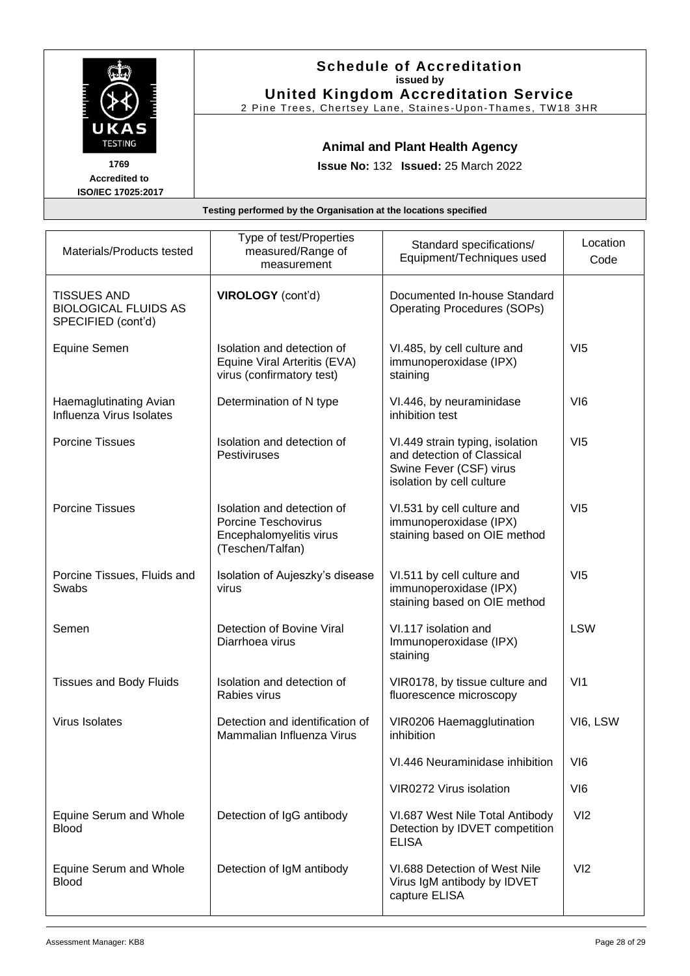|                                                                              | <b>Schedule of Accreditation</b><br>issued by<br><b>United Kingdom Accreditation Service</b><br>2 Pine Trees, Chertsey Lane, Staines-Upon-Thames, TW18 3HR |  |  |  |
|------------------------------------------------------------------------------|------------------------------------------------------------------------------------------------------------------------------------------------------------|--|--|--|
| UKAS<br><b>TESTING</b><br>1769<br><b>Accredited to</b><br>ISO/IEC 17025:2017 | <b>Animal and Plant Health Agency</b><br><b>Issue No: 132 Issued: 25 March 2022</b>                                                                        |  |  |  |
| Testing performed by the Organisation at the locations specified             |                                                                                                                                                            |  |  |  |
|                                                                              | Type of test/Properties<br>ocation<br>$C$ tondord onooifiootional                                                                                          |  |  |  |

| Materials/Products tested                                               | Type of test/Properties<br>measured/Range of<br>measurement                                             | Standard specifications/<br>Equipment/Techniques used                                                                 | Location<br>Code |
|-------------------------------------------------------------------------|---------------------------------------------------------------------------------------------------------|-----------------------------------------------------------------------------------------------------------------------|------------------|
| <b>TISSUES AND</b><br><b>BIOLOGICAL FLUIDS AS</b><br>SPECIFIED (cont'd) | VIROLOGY (cont'd)                                                                                       | Documented In-house Standard<br><b>Operating Procedures (SOPs)</b>                                                    |                  |
| Equine Semen                                                            | Isolation and detection of<br>Equine Viral Arteritis (EVA)<br>virus (confirmatory test)                 | VI.485, by cell culture and<br>immunoperoxidase (IPX)<br>staining                                                     | VI5              |
| Haemaglutinating Avian<br>Influenza Virus Isolates                      | Determination of N type                                                                                 | VI.446, by neuraminidase<br>inhibition test                                                                           | VI <sub>6</sub>  |
| <b>Porcine Tissues</b>                                                  | Isolation and detection of<br><b>Pestiviruses</b>                                                       | VI.449 strain typing, isolation<br>and detection of Classical<br>Swine Fever (CSF) virus<br>isolation by cell culture | VI5              |
| <b>Porcine Tissues</b>                                                  | Isolation and detection of<br><b>Porcine Teschovirus</b><br>Encephalomyelitis virus<br>(Teschen/Talfan) | VI.531 by cell culture and<br>immunoperoxidase (IPX)<br>staining based on OIE method                                  | VI5              |
| Porcine Tissues, Fluids and<br>Swabs                                    | Isolation of Aujeszky's disease<br>virus                                                                | VI.511 by cell culture and<br>immunoperoxidase (IPX)<br>staining based on OIE method                                  | VI5              |
| Semen                                                                   | Detection of Bovine Viral<br>Diarrhoea virus                                                            | VI.117 isolation and<br>Immunoperoxidase (IPX)<br>staining                                                            | <b>LSW</b>       |
| <b>Tissues and Body Fluids</b>                                          | Isolation and detection of<br>Rabies virus                                                              | VIR0178, by tissue culture and<br>fluorescence microscopy                                                             | V <sub>11</sub>  |
| <b>Virus Isolates</b>                                                   | Detection and identification of<br>Mammalian Influenza Virus                                            | VIR0206 Haemagglutination<br>inhibition                                                                               | VI6, LSW         |
|                                                                         |                                                                                                         | VI.446 Neuraminidase inhibition                                                                                       | VI <sub>6</sub>  |
|                                                                         |                                                                                                         | VIR0272 Virus isolation                                                                                               | VI <sub>6</sub>  |
| Equine Serum and Whole<br><b>Blood</b>                                  | Detection of IgG antibody                                                                               | VI.687 West Nile Total Antibody<br>Detection by IDVET competition<br><b>ELISA</b>                                     | VI2              |
| Equine Serum and Whole<br><b>Blood</b>                                  | Detection of IgM antibody                                                                               | VI.688 Detection of West Nile<br>Virus IgM antibody by IDVET<br>capture ELISA                                         | VI2              |